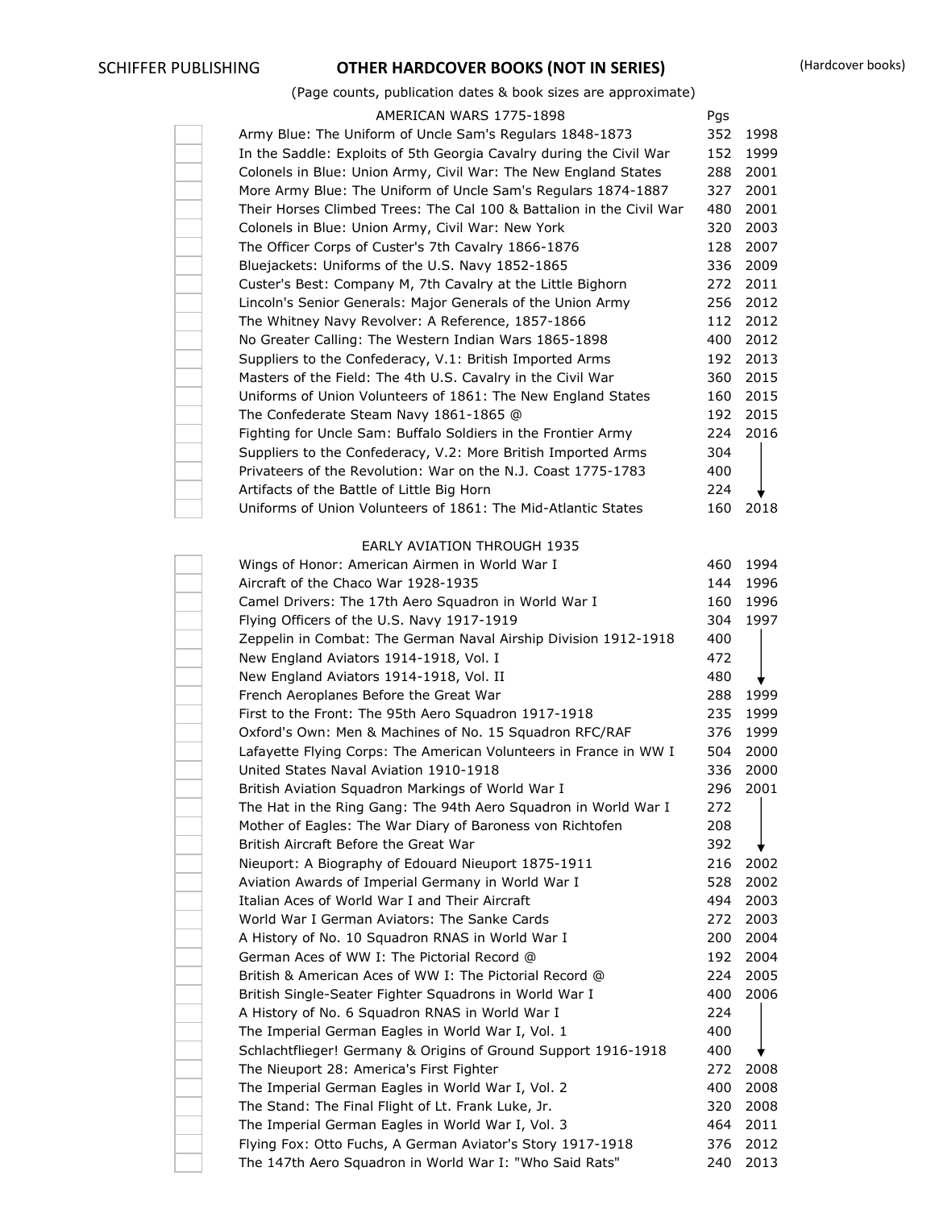# SCHIFFER PUBLISHING **OTHER HARDCOVER BOOKS (NOT IN SERIES)** (Hardcover books)

# (Page counts, publication dates & book sizes are approximate)

| AMERICAN WARS 1775-1898                                                                                    | Pgs        |          |
|------------------------------------------------------------------------------------------------------------|------------|----------|
| Army Blue: The Uniform of Uncle Sam's Regulars 1848-1873                                                   | 352        | 1998     |
| In the Saddle: Exploits of 5th Georgia Cavalry during the Civil War                                        | 152        | 1999     |
| Colonels in Blue: Union Army, Civil War: The New England States                                            | 288        | 2001     |
| More Army Blue: The Uniform of Uncle Sam's Regulars 1874-1887                                              | 327        | 2001     |
| Their Horses Climbed Trees: The Cal 100 & Battalion in the Civil War                                       | 480        | 2001     |
| Colonels in Blue: Union Army, Civil War: New York                                                          | 320        | 2003     |
| The Officer Corps of Custer's 7th Cavalry 1866-1876                                                        | 128        | 2007     |
| Bluejackets: Uniforms of the U.S. Navy 1852-1865                                                           | 336        | 2009     |
| Custer's Best: Company M, 7th Cavalry at the Little Bighorn                                                | 272        | 2011     |
| Lincoln's Senior Generals: Major Generals of the Union Army                                                | 256        | 2012     |
| The Whitney Navy Revolver: A Reference, 1857-1866                                                          | 112        | 2012     |
| No Greater Calling: The Western Indian Wars 1865-1898                                                      | 400        | 2012     |
| Suppliers to the Confederacy, V.1: British Imported Arms                                                   | 192        | 2013     |
| Masters of the Field: The 4th U.S. Cavalry in the Civil War                                                | 360        | 2015     |
| Uniforms of Union Volunteers of 1861: The New England States                                               | 160        | 2015     |
| The Confederate Steam Navy 1861-1865 @                                                                     | 192        | 2015     |
| Fighting for Uncle Sam: Buffalo Soldiers in the Frontier Army                                              | 224        | 2016     |
| Suppliers to the Confederacy, V.2: More British Imported Arms                                              | 304        |          |
| Privateers of the Revolution: War on the N.J. Coast 1775-1783                                              | 400        |          |
| Artifacts of the Battle of Little Big Horn                                                                 | 224        |          |
| Uniforms of Union Volunteers of 1861: The Mid-Atlantic States                                              | 160        | 2018     |
|                                                                                                            |            |          |
| <b>EARLY AVIATION THROUGH 1935</b>                                                                         |            |          |
| Wings of Honor: American Airmen in World War I                                                             | 460        | 1994     |
| Aircraft of the Chaco War 1928-1935                                                                        | 144        | 1996     |
| Camel Drivers: The 17th Aero Squadron in World War I                                                       | 160        | 1996     |
| Flying Officers of the U.S. Navy 1917-1919                                                                 | 304        | 1997     |
| Zeppelin in Combat: The German Naval Airship Division 1912-1918                                            | 400        |          |
| New England Aviators 1914-1918, Vol. I                                                                     | 472        |          |
| New England Aviators 1914-1918, Vol. II                                                                    | 480        |          |
| French Aeroplanes Before the Great War                                                                     | 288        | 1999     |
| First to the Front: The 95th Aero Squadron 1917-1918                                                       | 235        | 1999     |
| Oxford's Own: Men & Machines of No. 15 Squadron RFC/RAF                                                    | 376        | 1999     |
| Lafayette Flying Corps: The American Volunteers in France in WW I                                          | 504        | 2000     |
| United States Naval Aviation 1910-1918                                                                     | 336        | 2000     |
| British Aviation Squadron Markings of World War I                                                          |            | 296 2001 |
| The Hat in the Ring Gang: The 94th Aero Squadron in World War I                                            | 272        |          |
| Mother of Eagles: The War Diary of Baroness von Richtofen                                                  | 208        |          |
| British Aircraft Before the Great War                                                                      | 392        |          |
| Nieuport: A Biography of Edouard Nieuport 1875-1911                                                        | 216        | 2002     |
| Aviation Awards of Imperial Germany in World War I                                                         | 528        | 2002     |
| Italian Aces of World War I and Their Aircraft                                                             | 494        | 2003     |
| World War I German Aviators: The Sanke Cards                                                               | 272        | 2003     |
| A History of No. 10 Squadron RNAS in World War I                                                           | 200        | 2004     |
| German Aces of WW I: The Pictorial Record @                                                                | 192        | 2004     |
| British & American Aces of WW I: The Pictorial Record @                                                    | 224        | 2005     |
| British Single-Seater Fighter Squadrons in World War I                                                     | 400        | 2006     |
| A History of No. 6 Squadron RNAS in World War I                                                            | 224        |          |
| The Imperial German Eagles in World War I, Vol. 1                                                          | 400        |          |
| Schlachtflieger! Germany & Origins of Ground Support 1916-1918<br>The Nieuport 28: America's First Fighter | 400<br>272 | 2008     |
| The Imperial German Eagles in World War I, Vol. 2                                                          | 400        | 2008     |
| The Stand: The Final Flight of Lt. Frank Luke, Jr.                                                         | 320        | 2008     |
| The Imperial German Eagles in World War I, Vol. 3                                                          | 464        | 2011     |
| Flying Fox: Otto Fuchs, A German Aviator's Story 1917-1918                                                 | 376        | 2012     |
| The 147th Aero Squadron in World War I: "Who Said Rats"                                                    | 240        | 2013     |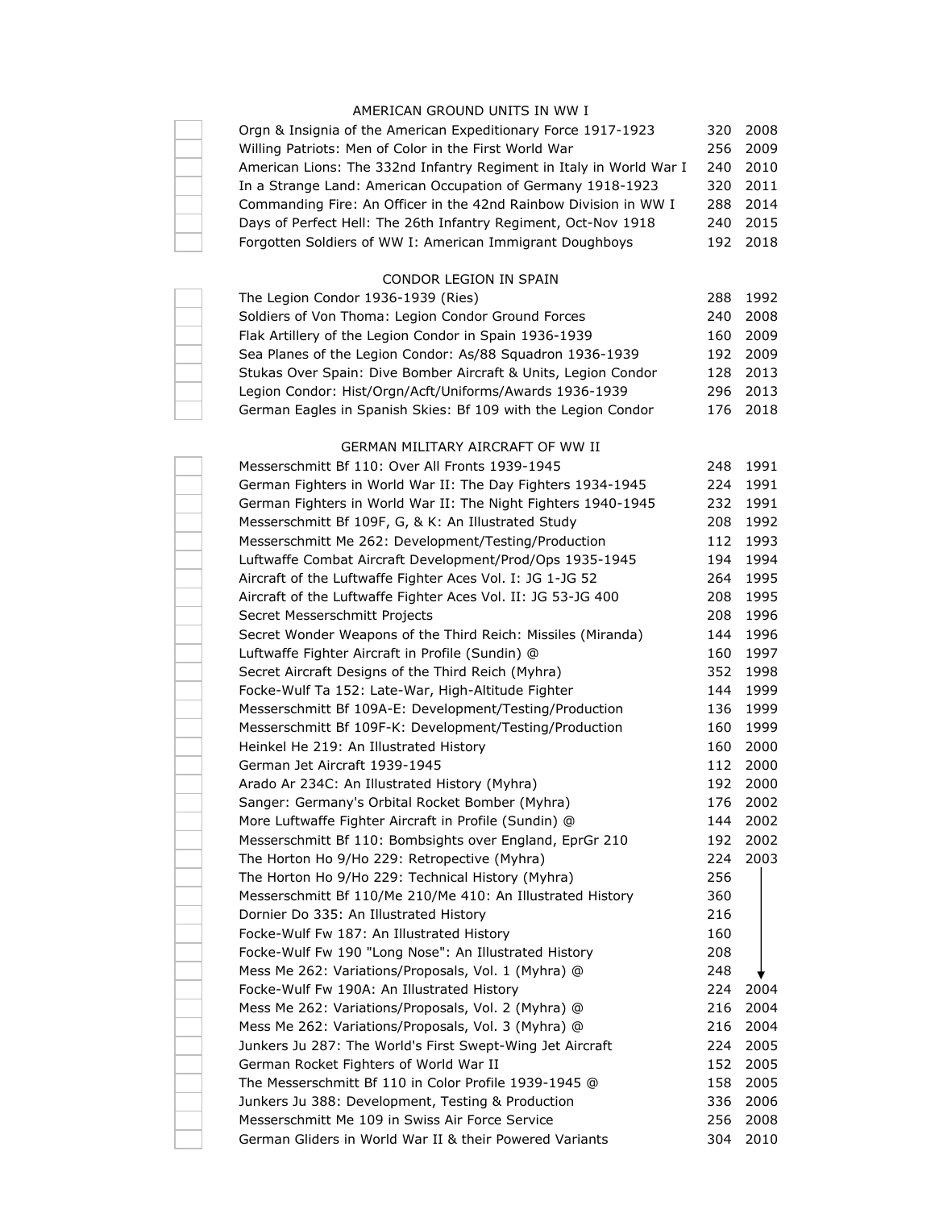## AMERICAN GROUND UNITS IN WW I

| Orgn & Insignia of the American Expeditionary Force 1917-1923       |     | 320 2008 |
|---------------------------------------------------------------------|-----|----------|
| Willing Patriots: Men of Color in the First World War               |     | 256 2009 |
| American Lions: The 332nd Infantry Regiment in Italy in World War I |     | 240 2010 |
| In a Strange Land: American Occupation of Germany 1918-1923         |     | 320 2011 |
| Commanding Fire: An Officer in the 42nd Rainbow Division in WW I    |     | 288 2014 |
| Days of Perfect Hell: The 26th Infantry Regiment, Oct-Nov 1918      | 240 | 2015     |
| Forgotten Soldiers of WW I: American Immigrant Doughboys            |     | 192 2018 |
|                                                                     |     |          |

# CONDOR LEGION IN SPAIN

| The Legion Condor 1936-1939 (Ries)                             |     | 288 1992 |
|----------------------------------------------------------------|-----|----------|
| Soldiers of Von Thoma: Legion Condor Ground Forces             | 240 | 2008     |
| Flak Artillery of the Legion Condor in Spain 1936-1939         | 160 | 2009     |
| Sea Planes of the Legion Condor: As/88 Squadron 1936-1939      |     | 192 2009 |
| Stukas Over Spain: Dive Bomber Aircraft & Units, Legion Condor |     | 128 2013 |
| Legion Condor: Hist/Orgn/Acft/Uniforms/Awards 1936-1939        |     | 296 2013 |
| German Eagles in Spanish Skies: Bf 109 with the Legion Condor  |     | 176 2018 |

#### GERMAN MILITARY AIRCRAFT OF WW II

| Messerschmitt Bf 110: Over All Fronts 1939-1945               | 248 | 1991 |
|---------------------------------------------------------------|-----|------|
| German Fighters in World War II: The Day Fighters 1934-1945   | 224 | 1991 |
| German Fighters in World War II: The Night Fighters 1940-1945 | 232 | 1991 |
| Messerschmitt Bf 109F, G, & K: An Illustrated Study           | 208 | 1992 |
| Messerschmitt Me 262: Development/Testing/Production          | 112 | 1993 |
| Luftwaffe Combat Aircraft Development/Prod/Ops 1935-1945      | 194 | 1994 |
| Aircraft of the Luftwaffe Fighter Aces Vol. I: JG 1-JG 52     | 264 | 1995 |
| Aircraft of the Luftwaffe Fighter Aces Vol. II: JG 53-JG 400  | 208 | 1995 |
| Secret Messerschmitt Projects                                 | 208 | 1996 |
| Secret Wonder Weapons of the Third Reich: Missiles (Miranda)  | 144 | 1996 |
| Luftwaffe Fighter Aircraft in Profile (Sundin) @              | 160 | 1997 |
| Secret Aircraft Designs of the Third Reich (Myhra)            | 352 | 1998 |
| Focke-Wulf Ta 152: Late-War, High-Altitude Fighter            | 144 | 1999 |
| Messerschmitt Bf 109A-E: Development/Testing/Production       | 136 | 1999 |
| Messerschmitt Bf 109F-K: Development/Testing/Production       | 160 | 1999 |
| Heinkel He 219: An Illustrated History                        | 160 | 2000 |
| German Jet Aircraft 1939-1945                                 | 112 | 2000 |
| Arado Ar 234C: An Illustrated History (Myhra)                 | 192 | 2000 |
| Sanger: Germany's Orbital Rocket Bomber (Myhra)               | 176 | 2002 |
| More Luftwaffe Fighter Aircraft in Profile (Sundin) @         | 144 | 2002 |
| Messerschmitt Bf 110: Bombsights over England, EprGr 210      | 192 | 2002 |
| The Horton Ho 9/Ho 229: Retropective (Myhra)                  | 224 | 2003 |
| The Horton Ho 9/Ho 229: Technical History (Myhra)             | 256 |      |
| Messerschmitt Bf 110/Me 210/Me 410: An Illustrated History    | 360 |      |
| Dornier Do 335: An Illustrated History                        | 216 |      |
| Focke-Wulf Fw 187: An Illustrated History                     | 160 |      |
| Focke-Wulf Fw 190 "Long Nose": An Illustrated History         | 208 |      |
| Mess Me 262: Variations/Proposals, Vol. 1 (Myhra) @           | 248 |      |
| Focke-Wulf Fw 190A: An Illustrated History                    | 224 | 2004 |
| Mess Me 262: Variations/Proposals, Vol. 2 (Myhra) @           | 216 | 2004 |
| Mess Me 262: Variations/Proposals, Vol. 3 (Myhra) @           | 216 | 2004 |
| Junkers Ju 287: The World's First Swept-Wing Jet Aircraft     | 224 | 2005 |
| German Rocket Fighters of World War II                        | 152 | 2005 |
| The Messerschmitt Bf 110 in Color Profile 1939-1945 @         | 158 | 2005 |
| Junkers Ju 388: Development, Testing & Production             | 336 | 2006 |
| Messerschmitt Me 109 in Swiss Air Force Service               | 256 | 2008 |
| German Gliders in World War II & their Powered Variants       | 304 | 2010 |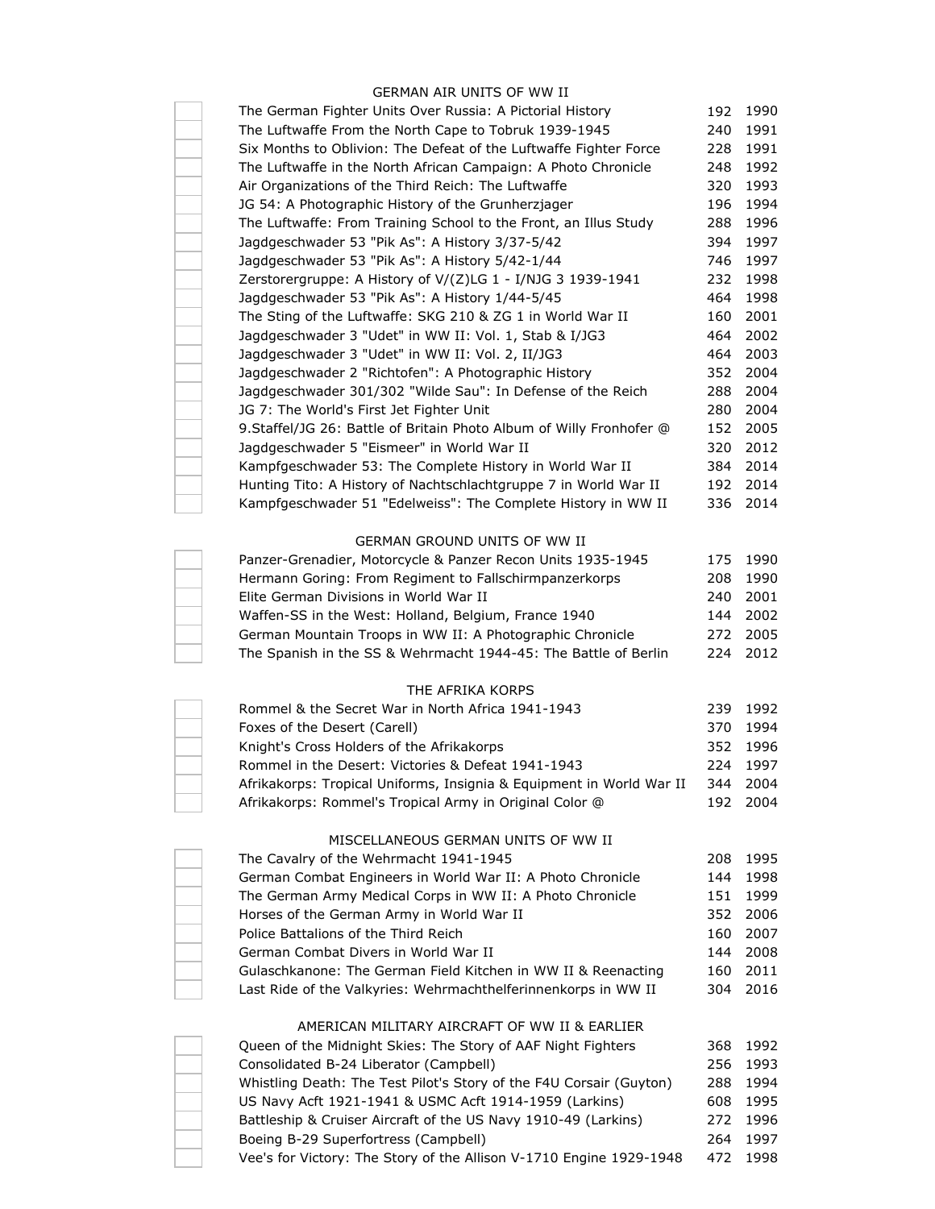### GERMAN AIR UNITS OF WW II

| The German Fighter Units Over Russia: A Pictorial History            | 192 | 1990 |
|----------------------------------------------------------------------|-----|------|
| The Luftwaffe From the North Cape to Tobruk 1939-1945                | 240 | 1991 |
| Six Months to Oblivion: The Defeat of the Luftwaffe Fighter Force    | 228 | 1991 |
| The Luftwaffe in the North African Campaign: A Photo Chronicle       | 248 | 1992 |
| Air Organizations of the Third Reich: The Luftwaffe                  | 320 | 1993 |
| JG 54: A Photographic History of the Grunherzjager                   | 196 | 1994 |
| The Luftwaffe: From Training School to the Front, an Illus Study     | 288 | 1996 |
| Jagdgeschwader 53 "Pik As": A History 3/37-5/42                      | 394 | 1997 |
| Jagdgeschwader 53 "Pik As": A History 5/42-1/44                      | 746 | 1997 |
| Zerstorergruppe: A History of V/(Z)LG 1 - I/NJG 3 1939-1941          | 232 | 1998 |
| Jagdgeschwader 53 "Pik As": A History 1/44-5/45                      | 464 | 1998 |
| The Sting of the Luftwaffe: SKG 210 & ZG 1 in World War II           | 160 | 2001 |
| Jagdgeschwader 3 "Udet" in WW II: Vol. 1, Stab & I/JG3               | 464 | 2002 |
| Jagdgeschwader 3 "Udet" in WW II: Vol. 2, II/JG3                     | 464 | 2003 |
| Jagdgeschwader 2 "Richtofen": A Photographic History                 | 352 | 2004 |
| Jagdgeschwader 301/302 "Wilde Sau": In Defense of the Reich          | 288 | 2004 |
| JG 7: The World's First Jet Fighter Unit                             | 280 | 2004 |
| 9. Staffel/JG 26: Battle of Britain Photo Album of Willy Fronhofer @ | 152 | 2005 |
| Jagdgeschwader 5 "Eismeer" in World War II                           | 320 | 2012 |
| Kampfgeschwader 53: The Complete History in World War II             | 384 | 2014 |
| Hunting Tito: A History of Nachtschlachtgruppe 7 in World War II     | 192 | 2014 |
| Kampfgeschwader 51 "Edelweiss": The Complete History in WW II        | 336 | 2014 |
|                                                                      |     |      |
| GERMAN GROUND UNITS OF WW II                                         |     |      |
| Panzer-Grenadier, Motorcycle & Panzer Recon Units 1935-1945          | 175 | 1990 |
| Hermann Goring: From Regiment to Fallschirmpanzerkorps               | 208 | 1990 |
| Elite German Divisions in World War II                               | 240 | 2001 |
| Waffen-SS in the West: Holland, Belgium, France 1940                 | 144 | 2002 |
| German Mountain Troops in WW II: A Photographic Chronicle            | 272 | 2005 |
| The Spanish in the SS & Wehrmacht 1944-45: The Battle of Berlin      | 224 | 2012 |
|                                                                      |     |      |
| THE AFRIKA KORPS                                                     |     |      |
| Rommel & the Secret War in North Africa 1941-1943                    | 239 | 1992 |
| Foxes of the Desert (Carell)                                         | 370 | 1994 |
| Knight's Cross Holders of the Afrikakorps                            | 352 | 1996 |
| Rommel in the Desert: Victories & Defeat 1941-1943                   | 224 | 1997 |
| Afrikakorps: Tropical Uniforms, Insignia & Equipment in World War II | 344 | 2004 |
| Afrikakorps: Rommel's Tropical Army in Original Color @              | 192 | 2004 |
| MISCELLANEOUS GERMAN UNITS OF WW II                                  |     |      |
| The Cavalry of the Wehrmacht 1941-1945                               | 208 | 1995 |
| German Combat Engineers in World War II: A Photo Chronicle           | 144 | 1998 |
| The German Army Medical Corps in WW II: A Photo Chronicle            | 151 | 1999 |
| Horses of the German Army in World War II                            | 352 | 2006 |
| Police Battalions of the Third Reich                                 | 160 | 2007 |
| German Combat Divers in World War II                                 | 144 | 2008 |
| Gulaschkanone: The German Field Kitchen in WW II & Reenacting        | 160 | 2011 |
| Last Ride of the Valkyries: Wehrmachthelferinnenkorps in WW II       | 304 | 2016 |
|                                                                      |     |      |
| AMERICAN MILITARY AIRCRAFT OF WW II & EARLIER                        |     |      |
| Queen of the Midnight Skies: The Story of AAF Night Fighters         | 368 | 1992 |
| Consolidated B-24 Liberator (Campbell)                               | 256 | 1993 |
| Whistling Death: The Test Pilot's Story of the F4U Corsair (Guyton)  | 288 | 1994 |
| US Navy Acft 1921-1941 & USMC Acft 1914-1959 (Larkins)               | 608 | 1995 |
| Battleship & Cruiser Aircraft of the US Navy 1910-49 (Larkins)       | 272 | 1996 |
| Boeing B-29 Superfortress (Campbell)                                 | 264 | 1997 |
| Vee's for Victory: The Story of the Allison V-1710 Engine 1929-1948  | 472 | 1998 |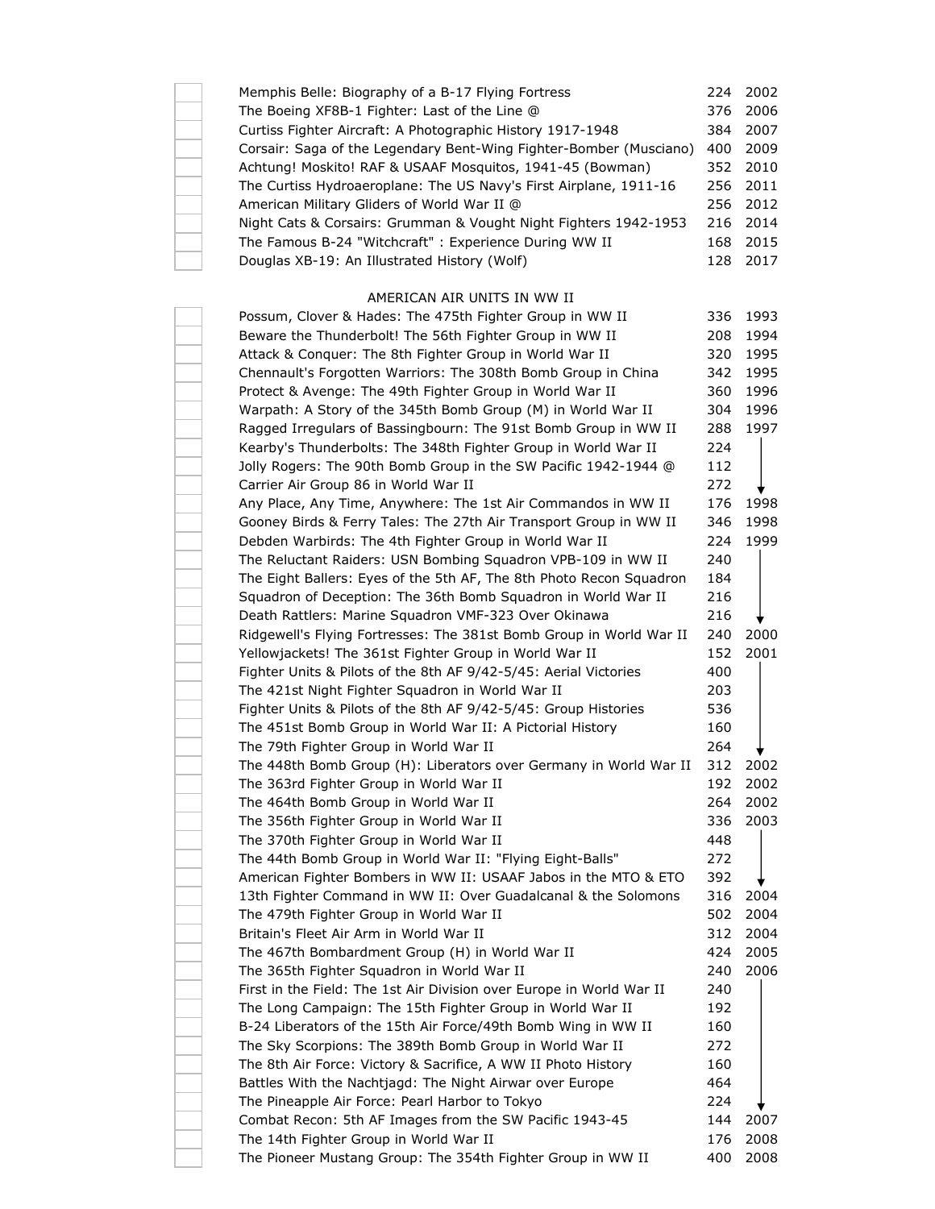| Memphis Belle: Biography of a B-17 Flying Fortress<br>The Boeing XF8B-1 Fighter: Last of the Line @<br>Curtiss Fighter Aircraft: A Photographic History 1917-1948<br>Corsair: Saga of the Legendary Bent-Wing Fighter-Bomber (Musciano)<br>Achtung! Moskito! RAF & USAAF Mosquitos, 1941-45 (Bowman) | 224<br>376<br>384<br>400<br>352 | 2002<br>2006<br>2007<br>2009<br>2010 |
|------------------------------------------------------------------------------------------------------------------------------------------------------------------------------------------------------------------------------------------------------------------------------------------------------|---------------------------------|--------------------------------------|
| The Curtiss Hydroaeroplane: The US Navy's First Airplane, 1911-16                                                                                                                                                                                                                                    | 256                             | 2011                                 |
| American Military Gliders of World War II @                                                                                                                                                                                                                                                          | 256                             | 2012                                 |
| Night Cats & Corsairs: Grumman & Vought Night Fighters 1942-1953                                                                                                                                                                                                                                     | 216                             | 2014                                 |
| The Famous B-24 "Witchcraft" : Experience During WW II                                                                                                                                                                                                                                               | 168                             | 2015                                 |
| Douglas XB-19: An Illustrated History (Wolf)                                                                                                                                                                                                                                                         | 128                             | 2017                                 |
|                                                                                                                                                                                                                                                                                                      |                                 |                                      |
| AMERICAN AIR UNITS IN WW II                                                                                                                                                                                                                                                                          | 336                             | 1993                                 |
| Possum, Clover & Hades: The 475th Fighter Group in WW II<br>Beware the Thunderbolt! The 56th Fighter Group in WW II                                                                                                                                                                                  | 208                             | 1994                                 |
| Attack & Conquer: The 8th Fighter Group in World War II                                                                                                                                                                                                                                              | 320                             | 1995                                 |
| Chennault's Forgotten Warriors: The 308th Bomb Group in China                                                                                                                                                                                                                                        | 342                             | 1995                                 |
| Protect & Avenge: The 49th Fighter Group in World War II                                                                                                                                                                                                                                             | 360                             | 1996                                 |
| Warpath: A Story of the 345th Bomb Group (M) in World War II                                                                                                                                                                                                                                         | 304                             | 1996                                 |
| Ragged Irregulars of Bassingbourn: The 91st Bomb Group in WW II                                                                                                                                                                                                                                      | 288                             | 1997                                 |
| Kearby's Thunderbolts: The 348th Fighter Group in World War II                                                                                                                                                                                                                                       | 224                             |                                      |
| Jolly Rogers: The 90th Bomb Group in the SW Pacific 1942-1944 @                                                                                                                                                                                                                                      | 112                             |                                      |
| Carrier Air Group 86 in World War II                                                                                                                                                                                                                                                                 | 272                             |                                      |
| Any Place, Any Time, Anywhere: The 1st Air Commandos in WW II                                                                                                                                                                                                                                        | 176                             | 1998                                 |
| Gooney Birds & Ferry Tales: The 27th Air Transport Group in WW II                                                                                                                                                                                                                                    | 346                             | 1998                                 |
| Debden Warbirds: The 4th Fighter Group in World War II                                                                                                                                                                                                                                               | 224                             | 1999                                 |
| The Reluctant Raiders: USN Bombing Squadron VPB-109 in WW II                                                                                                                                                                                                                                         | 240                             |                                      |
| The Eight Ballers: Eyes of the 5th AF, The 8th Photo Recon Squadron                                                                                                                                                                                                                                  | 184                             |                                      |
| Squadron of Deception: The 36th Bomb Squadron in World War II                                                                                                                                                                                                                                        | 216                             |                                      |
| Death Rattlers: Marine Squadron VMF-323 Over Okinawa                                                                                                                                                                                                                                                 | 216                             |                                      |
| Ridgewell's Flying Fortresses: The 381st Bomb Group in World War II                                                                                                                                                                                                                                  |                                 | 2000                                 |
|                                                                                                                                                                                                                                                                                                      | 240<br>152                      | 2001                                 |
| Yellowjackets! The 361st Fighter Group in World War II<br>Fighter Units & Pilots of the 8th AF 9/42-5/45: Aerial Victories                                                                                                                                                                           |                                 |                                      |
| The 421st Night Fighter Squadron in World War II                                                                                                                                                                                                                                                     | 400<br>203                      |                                      |
| Fighter Units & Pilots of the 8th AF 9/42-5/45: Group Histories                                                                                                                                                                                                                                      | 536                             |                                      |
| The 451st Bomb Group in World War II: A Pictorial History                                                                                                                                                                                                                                            | 160                             |                                      |
| The 79th Fighter Group in World War II                                                                                                                                                                                                                                                               | 264                             |                                      |
|                                                                                                                                                                                                                                                                                                      | 312                             | 2002                                 |
| The 448th Bomb Group (H): Liberators over Germany in World War II<br>The 363rd Fighter Group in World War II                                                                                                                                                                                         | 192                             | 2002                                 |
| The 464th Bomb Group in World War II                                                                                                                                                                                                                                                                 | 264                             | 2002                                 |
| The 356th Fighter Group in World War II                                                                                                                                                                                                                                                              | 336                             | 2003                                 |
| The 370th Fighter Group in World War II                                                                                                                                                                                                                                                              | 448                             |                                      |
| The 44th Bomb Group in World War II: "Flying Eight-Balls"                                                                                                                                                                                                                                            | 272                             |                                      |
| American Fighter Bombers in WW II: USAAF Jabos in the MTO & ETO                                                                                                                                                                                                                                      | 392                             |                                      |
| 13th Fighter Command in WW II: Over Guadalcanal & the Solomons                                                                                                                                                                                                                                       | 316                             | 2004                                 |
| The 479th Fighter Group in World War II                                                                                                                                                                                                                                                              | 502                             | 2004                                 |
| Britain's Fleet Air Arm in World War II                                                                                                                                                                                                                                                              | 312                             | 2004                                 |
| The 467th Bombardment Group (H) in World War II                                                                                                                                                                                                                                                      | 424                             | 2005                                 |
| The 365th Fighter Squadron in World War II                                                                                                                                                                                                                                                           | 240                             | 2006                                 |
| First in the Field: The 1st Air Division over Europe in World War II                                                                                                                                                                                                                                 | 240                             |                                      |
|                                                                                                                                                                                                                                                                                                      |                                 |                                      |
| The Long Campaign: The 15th Fighter Group in World War II<br>B-24 Liberators of the 15th Air Force/49th Bomb Wing in WW II                                                                                                                                                                           | 192<br>160                      |                                      |
|                                                                                                                                                                                                                                                                                                      |                                 |                                      |
| The Sky Scorpions: The 389th Bomb Group in World War II                                                                                                                                                                                                                                              | 272<br>160                      |                                      |
| The 8th Air Force: Victory & Sacrifice, A WW II Photo History                                                                                                                                                                                                                                        | 464                             |                                      |
| Battles With the Nachtjagd: The Night Airwar over Europe<br>The Pineapple Air Force: Pearl Harbor to Tokyo                                                                                                                                                                                           | 224                             |                                      |
| Combat Recon: 5th AF Images from the SW Pacific 1943-45                                                                                                                                                                                                                                              | 144                             | 2007                                 |
| The 14th Fighter Group in World War II                                                                                                                                                                                                                                                               | 176                             | 2008                                 |
| The Pioneer Mustang Group: The 354th Fighter Group in WW II                                                                                                                                                                                                                                          | 400                             | 2008                                 |
|                                                                                                                                                                                                                                                                                                      |                                 |                                      |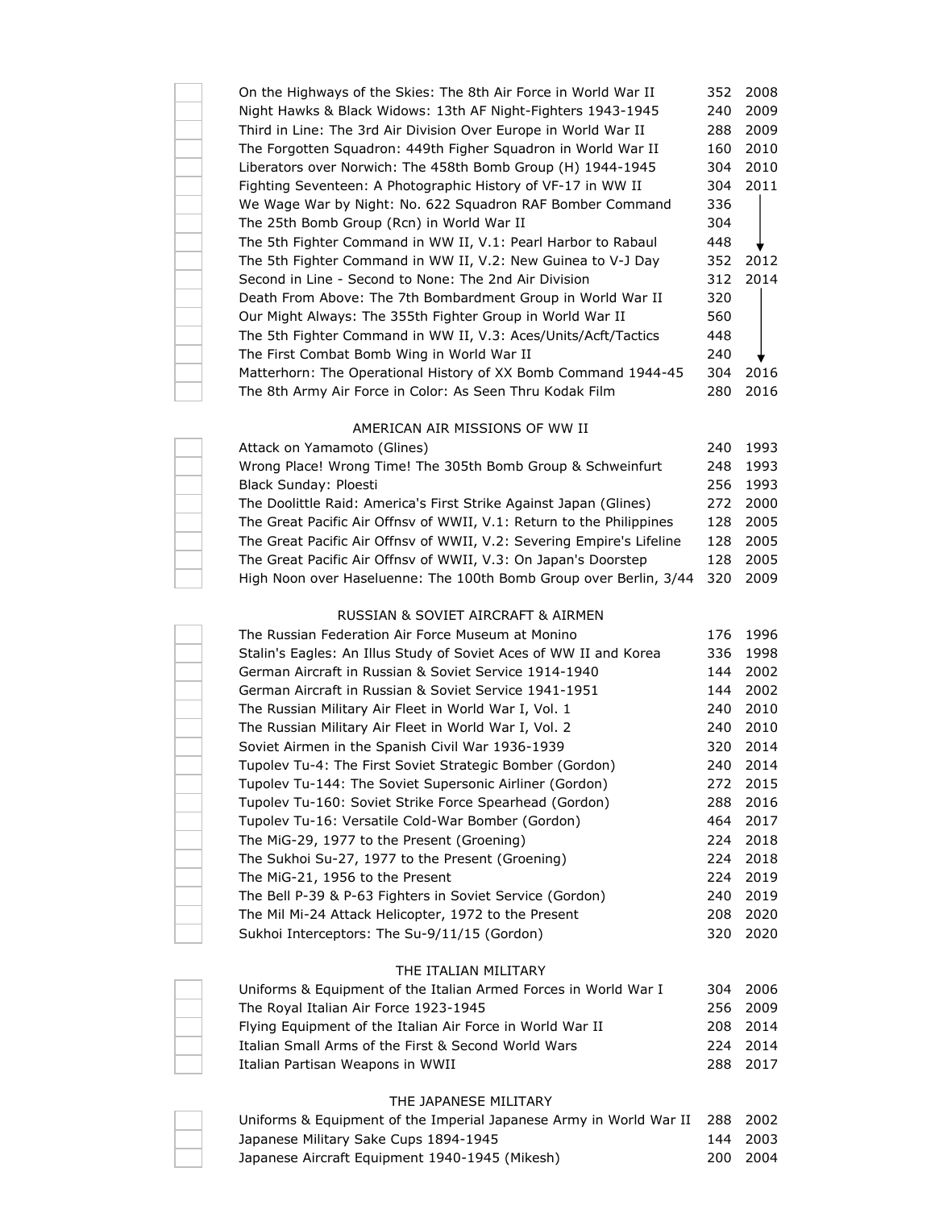| On the Highways of the Skies: The 8th Air Force in World War II | 352 | 2008 |
|-----------------------------------------------------------------|-----|------|
| Night Hawks & Black Widows: 13th AF Night-Fighters 1943-1945    | 240 | 2009 |
| Third in Line: The 3rd Air Division Over Europe in World War II | 288 | 2009 |
| The Forgotten Squadron: 449th Figher Squadron in World War II   | 160 | 2010 |
| Liberators over Norwich: The 458th Bomb Group (H) 1944-1945     | 304 | 2010 |
| Fighting Seventeen: A Photographic History of VF-17 in WW II    | 304 | 2011 |
| We Wage War by Night: No. 622 Squadron RAF Bomber Command       | 336 |      |
| The 25th Bomb Group (Rcn) in World War II                       | 304 |      |
| The 5th Fighter Command in WW II, V.1: Pearl Harbor to Rabaul   | 448 |      |
| The 5th Fighter Command in WW II, V.2: New Guinea to V-J Day    | 352 | 2012 |
| Second in Line - Second to None: The 2nd Air Division           | 312 | 2014 |
| Death From Above: The 7th Bombardment Group in World War II     | 320 |      |
| Our Might Always: The 355th Fighter Group in World War II       | 560 |      |
| The 5th Fighter Command in WW II, V.3: Aces/Units/Acft/Tactics  | 448 |      |
| The First Combat Bomb Wing in World War II                      | 240 |      |
| Matterhorn: The Operational History of XX Bomb Command 1944-45  | 304 | 2016 |
| The 8th Army Air Force in Color: As Seen Thru Kodak Film        | 280 | 2016 |
|                                                                 |     |      |
|                                                                 |     |      |

# AMERICAN AIR MISSIONS OF WW II

| Attack on Yamamoto (Glines)                                           |      | 240 1993 |
|-----------------------------------------------------------------------|------|----------|
| Wrong Place! Wrong Time! The 305th Bomb Group & Schweinfurt           | 248  | 1993     |
| Black Sunday: Ploesti                                                 |      | 256 1993 |
| The Doolittle Raid: America's First Strike Against Japan (Glines)     |      | 272 2000 |
| The Great Pacific Air Offnsy of WWII, V.1: Return to the Philippines  |      | 128 2005 |
| The Great Pacific Air Offnsy of WWII, V.2: Severing Empire's Lifeline |      | 128 2005 |
| The Great Pacific Air Offnsy of WWII, V.3: On Japan's Doorstep        | 128. | 2005     |
| High Noon over Haseluenne: The 100th Bomb Group over Berlin, 3/44     | 320  | 2009     |

## RUSSIAN & SOVIET AIRCRAFT & AIRMEN

| The Russian Federation Air Force Museum at Monino                 | 176 | 1996 |
|-------------------------------------------------------------------|-----|------|
| Stalin's Eagles: An Illus Study of Soviet Aces of WW II and Korea | 336 | 1998 |
| German Aircraft in Russian & Soviet Service 1914-1940             | 144 | 2002 |
| German Aircraft in Russian & Soviet Service 1941-1951             | 144 | 2002 |
| The Russian Military Air Fleet in World War I, Vol. 1             | 240 | 2010 |
| The Russian Military Air Fleet in World War I, Vol. 2             | 240 | 2010 |
| Soviet Airmen in the Spanish Civil War 1936-1939                  | 320 | 2014 |
| Tupolev Tu-4: The First Soviet Strategic Bomber (Gordon)          | 240 | 2014 |
| Tupolev Tu-144: The Soviet Supersonic Airliner (Gordon)           | 272 | 2015 |
| Tupolev Tu-160: Soviet Strike Force Spearhead (Gordon)            | 288 | 2016 |
| Tupolev Tu-16: Versatile Cold-War Bomber (Gordon)                 | 464 | 2017 |
| The MiG-29, 1977 to the Present (Groening)                        | 224 | 2018 |
| The Sukhoi Su-27, 1977 to the Present (Groening)                  | 224 | 2018 |
| The MiG-21, 1956 to the Present                                   | 224 | 2019 |
| The Bell P-39 & P-63 Fighters in Soviet Service (Gordon)          | 240 | 2019 |
| The Mil Mi-24 Attack Helicopter, 1972 to the Present              | 208 | 2020 |
| Sukhoi Interceptors: The Su-9/11/15 (Gordon)                      | 320 | 2020 |

#### THE ITALIAN MILITARY

| Uniforms & Equipment of the Italian Armed Forces in World War I |  | 304 2006 |
|-----------------------------------------------------------------|--|----------|
| The Royal Italian Air Force 1923-1945                           |  | 256 2009 |
| Flying Equipment of the Italian Air Force in World War II       |  | 208 2014 |
| Italian Small Arms of the First & Second World Wars             |  | 224 2014 |
| Italian Partisan Weapons in WWII                                |  | 288 2017 |

## THE JAPANESE MILITARY

| Uniforms & Equipment of the Imperial Japanese Army in World War II 288 2002 |          |
|-----------------------------------------------------------------------------|----------|
| Japanese Military Sake Cups 1894-1945                                       | 144 2003 |
| Japanese Aircraft Equipment 1940-1945 (Mikesh)                              | 200 2004 |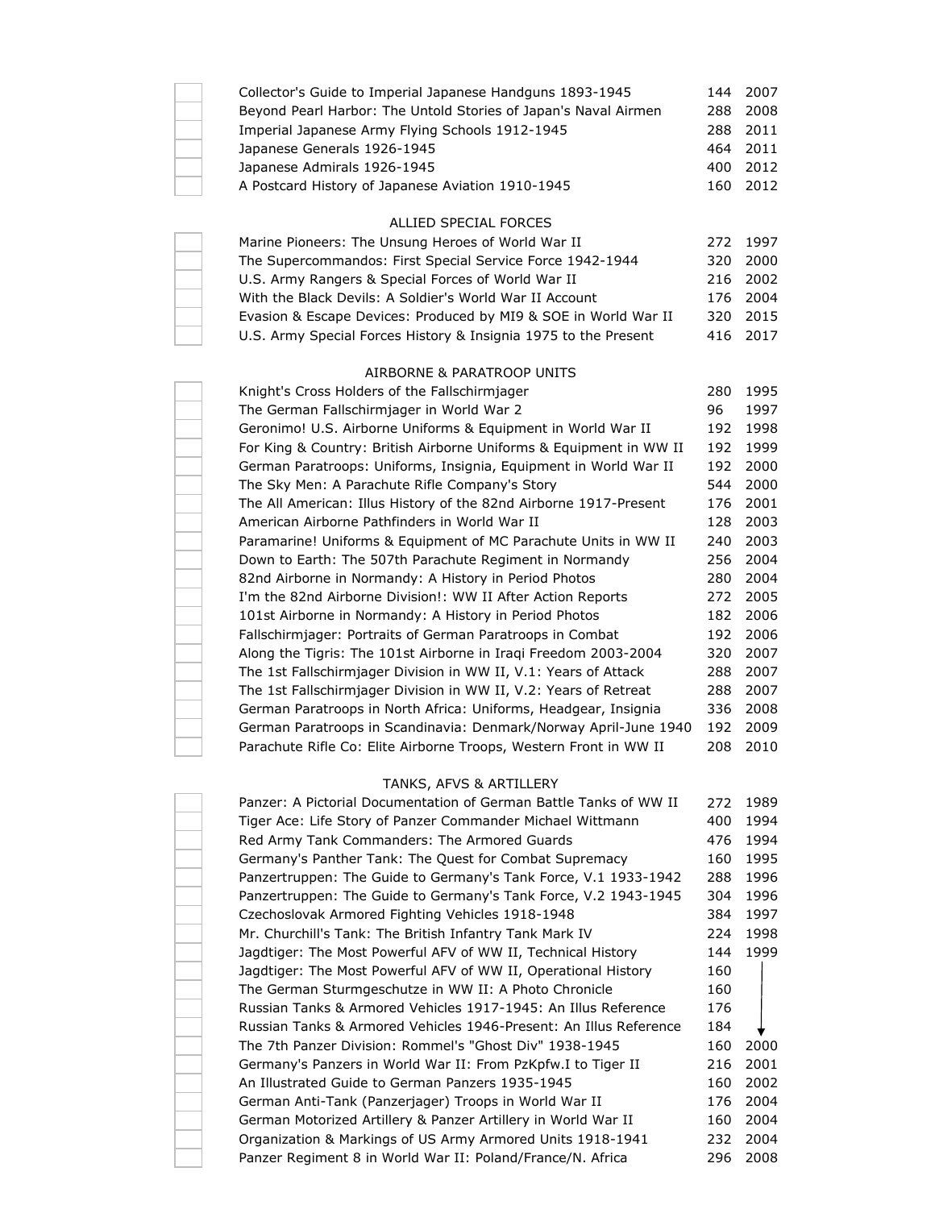|  | Collector's Guide to Imperial Japanese Handguns 1893-1945                   | 144 | 2007 |
|--|-----------------------------------------------------------------------------|-----|------|
|  | Beyond Pearl Harbor: The Untold Stories of Japan's Naval Airmen             | 288 | 2008 |
|  | Imperial Japanese Army Flying Schools 1912-1945                             | 288 | 2011 |
|  | Japanese Generals 1926-1945                                                 | 464 | 2011 |
|  | Japanese Admirals 1926-1945                                                 | 400 | 2012 |
|  | A Postcard History of Japanese Aviation 1910-1945                           | 160 | 2012 |
|  |                                                                             |     |      |
|  | ALLIED SPECIAL FORCES                                                       |     |      |
|  | Marine Pioneers: The Unsung Heroes of World War II                          | 272 | 1997 |
|  | The Supercommandos: First Special Service Force 1942-1944                   | 320 | 2000 |
|  | U.S. Army Rangers & Special Forces of World War II                          | 216 | 2002 |
|  | With the Black Devils: A Soldier's World War II Account                     | 176 | 2004 |
|  | Evasion & Escape Devices: Produced by MI9 & SOE in World War II             | 320 | 2015 |
|  | U.S. Army Special Forces History & Insignia 1975 to the Present             | 416 | 2017 |
|  |                                                                             |     |      |
|  | AIRBORNE & PARATROOP UNITS<br>Knight's Cross Holders of the Fallschirmjager | 280 | 1995 |
|  | The German Fallschirmjager in World War 2                                   | 96  | 1997 |
|  | Geronimo! U.S. Airborne Uniforms & Equipment in World War II                | 192 | 1998 |
|  | For King & Country: British Airborne Uniforms & Equipment in WW II          | 192 | 1999 |
|  |                                                                             |     |      |
|  | German Paratroops: Uniforms, Insignia, Equipment in World War II            | 192 | 2000 |
|  | The Sky Men: A Parachute Rifle Company's Story                              | 544 | 2000 |
|  | The All American: Illus History of the 82nd Airborne 1917-Present           | 176 | 2001 |
|  | American Airborne Pathfinders in World War II                               | 128 | 2003 |
|  | Paramarine! Uniforms & Equipment of MC Parachute Units in WW II             | 240 | 2003 |
|  | Down to Earth: The 507th Parachute Regiment in Normandy                     | 256 | 2004 |
|  | 82nd Airborne in Normandy: A History in Period Photos                       | 280 | 2004 |
|  | I'm the 82nd Airborne Division!: WW II After Action Reports                 | 272 | 2005 |
|  | 101st Airborne in Normandy: A History in Period Photos                      | 182 | 2006 |
|  | Fallschirmjager: Portraits of German Paratroops in Combat                   | 192 | 2006 |
|  | Along the Tigris: The 101st Airborne in Iraqi Freedom 2003-2004             | 320 | 2007 |
|  | The 1st Fallschirmjager Division in WW II, V.1: Years of Attack             | 288 | 2007 |
|  | The 1st Fallschirmjager Division in WW II, V.2: Years of Retreat            | 288 | 2007 |
|  | German Paratroops in North Africa: Uniforms, Headgear, Insignia             | 336 | 2008 |
|  | German Paratroops in Scandinavia: Denmark/Norway April-June 1940            | 192 | 2009 |
|  | Parachute Rifle Co: Elite Airborne Troops, Western Front in WW II           | 208 | 2010 |
|  | TANKS, AFVS & ARTILLERY                                                     |     |      |
|  | Panzer: A Pictorial Documentation of German Battle Tanks of WW II           | 272 | 1989 |
|  | Tiger Ace: Life Story of Panzer Commander Michael Wittmann                  | 400 | 1994 |
|  | Red Army Tank Commanders: The Armored Guards                                | 476 | 1994 |
|  | Germany's Panther Tank: The Quest for Combat Supremacy                      | 160 | 1995 |
|  | Panzertruppen: The Guide to Germany's Tank Force, V.1 1933-1942             | 288 | 1996 |
|  | Panzertruppen: The Guide to Germany's Tank Force, V.2 1943-1945             | 304 | 1996 |
|  | Czechoslovak Armored Fighting Vehicles 1918-1948                            | 384 | 1997 |
|  | Mr. Churchill's Tank: The British Infantry Tank Mark IV                     | 224 | 1998 |
|  | Jagdtiger: The Most Powerful AFV of WW II, Technical History                | 144 | 1999 |
|  | Jagdtiger: The Most Powerful AFV of WW II, Operational History              | 160 |      |
|  | The German Sturmgeschutze in WW II: A Photo Chronicle                       | 160 |      |
|  | Russian Tanks & Armored Vehicles 1917-1945: An Illus Reference              | 176 |      |
|  | Russian Tanks & Armored Vehicles 1946-Present: An Illus Reference           | 184 |      |
|  | The 7th Panzer Division: Rommel's "Ghost Div" 1938-1945                     | 160 | 2000 |
|  | Germany's Panzers in World War II: From PzKpfw.I to Tiger II                | 216 | 2001 |
|  | An Illustrated Guide to German Panzers 1935-1945                            | 160 | 2002 |
|  | German Anti-Tank (Panzerjager) Troops in World War II                       | 176 | 2004 |
|  | German Motorized Artillery & Panzer Artillery in World War II               | 160 | 2004 |
|  | Organization & Markings of US Army Armored Units 1918-1941                  | 232 | 2004 |
|  | Panzer Regiment 8 in World War II: Poland/France/N. Africa                  | 296 | 2008 |
|  |                                                                             |     |      |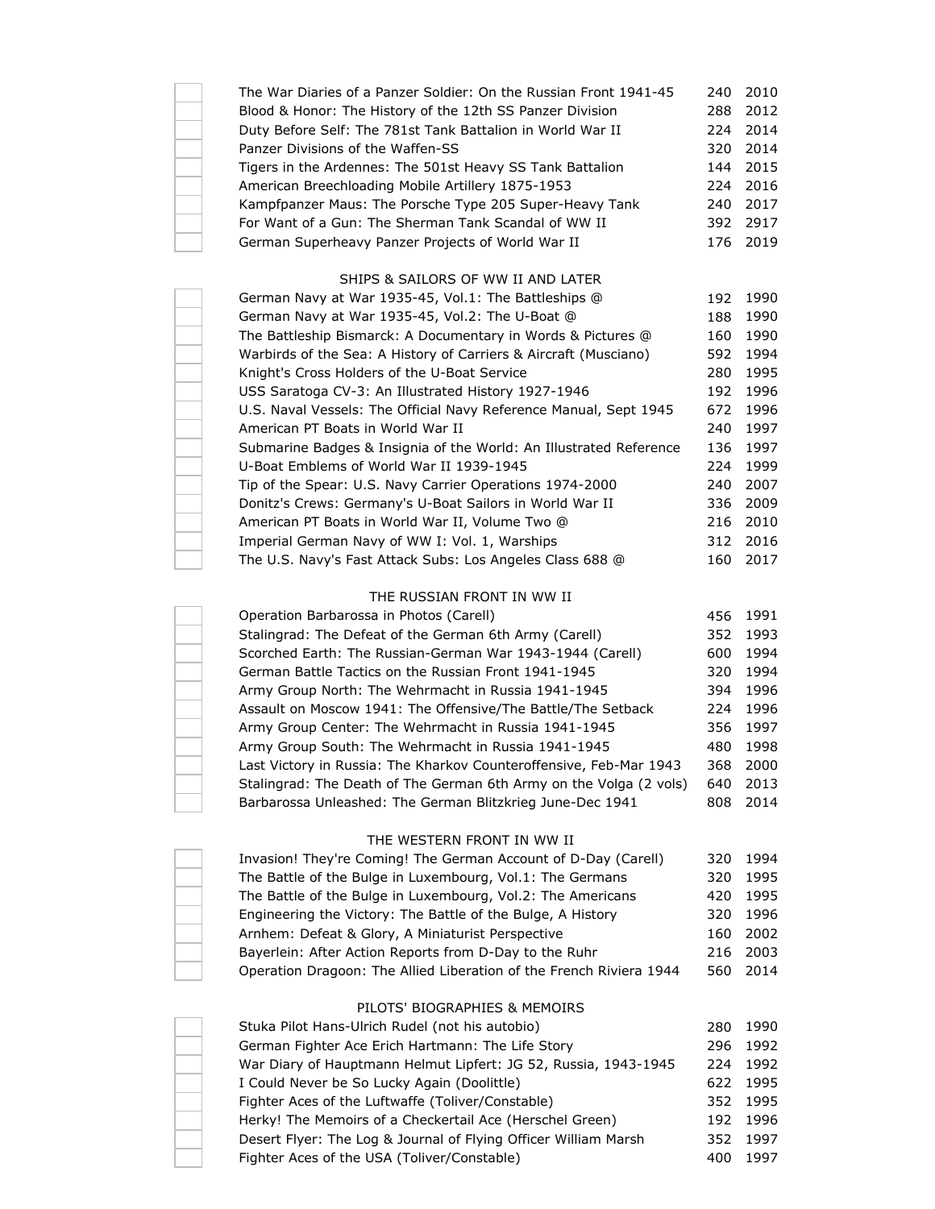| The War Diaries of a Panzer Soldier: On the Russian Front 1941-45 | 240 2010 |
|-------------------------------------------------------------------|----------|
| Blood & Honor: The History of the 12th SS Panzer Division         | 288 2012 |
| Duty Before Self: The 781st Tank Battalion in World War II        | 224 2014 |
| Panzer Divisions of the Waffen-SS                                 | 320 2014 |
| Tigers in the Ardennes: The 501st Heavy SS Tank Battalion         | 144 2015 |
| American Breechloading Mobile Artillery 1875-1953                 | 224 2016 |
| Kampfpanzer Maus: The Porsche Type 205 Super-Heavy Tank           | 240 2017 |
| For Want of a Gun: The Sherman Tank Scandal of WW II              | 392 2917 |
| German Superheavy Panzer Projects of World War II                 | 176 2019 |
|                                                                   |          |

## SHIPS & SAILORS OF WW II AND LATER

| German Navy at War 1935-45, Vol.1: The Battleships @               | 192  | 1990 |
|--------------------------------------------------------------------|------|------|
| German Navy at War 1935-45, Vol.2: The U-Boat @                    | 188  | 1990 |
| The Battleship Bismarck: A Documentary in Words & Pictures @       | 160  | 1990 |
| Warbirds of the Sea: A History of Carriers & Aircraft (Musciano)   | 592  | 1994 |
| Knight's Cross Holders of the U-Boat Service                       | 280  | 1995 |
| USS Saratoga CV-3: An Illustrated History 1927-1946                | 192  | 1996 |
| U.S. Naval Vessels: The Official Navy Reference Manual, Sept 1945  | 672  | 1996 |
| American PT Boats in World War II                                  | 240  | 1997 |
| Submarine Badges & Insignia of the World: An Illustrated Reference | 136  | 1997 |
| U-Boat Emblems of World War II 1939-1945                           | 224  | 1999 |
| Tip of the Spear: U.S. Navy Carrier Operations 1974-2000           | 240  | 2007 |
| Donitz's Crews: Germany's U-Boat Sailors in World War II           | 336. | 2009 |
| American PT Boats in World War II, Volume Two @                    | 216  | 2010 |
| Imperial German Navy of WW I: Vol. 1, Warships                     | 312  | 2016 |
| The U.S. Navy's Fast Attack Subs: Los Angeles Class 688 @          | 160  | 2017 |

## THE RUSSIAN FRONT IN WW II

| Operation Barbarossa in Photos (Carell)                            | 456 | 1991 |
|--------------------------------------------------------------------|-----|------|
| Stalingrad: The Defeat of the German 6th Army (Carell)             | 352 | 1993 |
| Scorched Earth: The Russian-German War 1943-1944 (Carell)          | 600 | 1994 |
| German Battle Tactics on the Russian Front 1941-1945               | 320 | 1994 |
| Army Group North: The Wehrmacht in Russia 1941-1945                | 394 | 1996 |
| Assault on Moscow 1941: The Offensive/The Battle/The Setback       | 224 | 1996 |
| Army Group Center: The Wehrmacht in Russia 1941-1945               | 356 | 1997 |
| Army Group South: The Wehrmacht in Russia 1941-1945                | 480 | 1998 |
| Last Victory in Russia: The Kharkov Counteroffensive, Feb-Mar 1943 | 368 | 2000 |
| Stalingrad: The Death of The German 6th Army on the Volga (2 vols) | 640 | 2013 |
| Barbarossa Unleashed: The German Blitzkrieg June-Dec 1941          | 808 | 2014 |

#### THE WESTERN FRONT IN WW II

| Invasion! They're Coming! The German Account of D-Day (Carell)      | 320 1994 |
|---------------------------------------------------------------------|----------|
| The Battle of the Bulge in Luxembourg, Vol.1: The Germans           | 320 1995 |
| The Battle of the Bulge in Luxembourg, Vol.2: The Americans         | 420 1995 |
| Engineering the Victory: The Battle of the Bulge, A History         | 320 1996 |
| Arnhem: Defeat & Glory, A Miniaturist Perspective                   | 160 2002 |
| Bayerlein: After Action Reports from D-Day to the Ruhr              | 216 2003 |
| Operation Dragoon: The Allied Liberation of the French Riviera 1944 | 560 2014 |

#### PILOTS' BIOGRAPHIES & MEMOIRS

| Stuka Pilot Hans-Ulrich Rudel (not his autobio)                 | 280. | 1990     |
|-----------------------------------------------------------------|------|----------|
| German Fighter Ace Erich Hartmann: The Life Story               | 296  | 1992     |
| War Diary of Hauptmann Helmut Lipfert: JG 52, Russia, 1943-1945 | 224  | 1992     |
| I Could Never be So Lucky Again (Doolittle)                     |      | 622 1995 |
| Fighter Aces of the Luftwaffe (Toliver/Constable)               |      | 352 1995 |
| Herky! The Memoirs of a Checkertail Ace (Herschel Green)        |      | 192 1996 |
| Desert Flyer: The Log & Journal of Flying Officer William Marsh |      | 352 1997 |
| Fighter Aces of the USA (Toliver/Constable)                     | 400  | 1997     |
|                                                                 |      |          |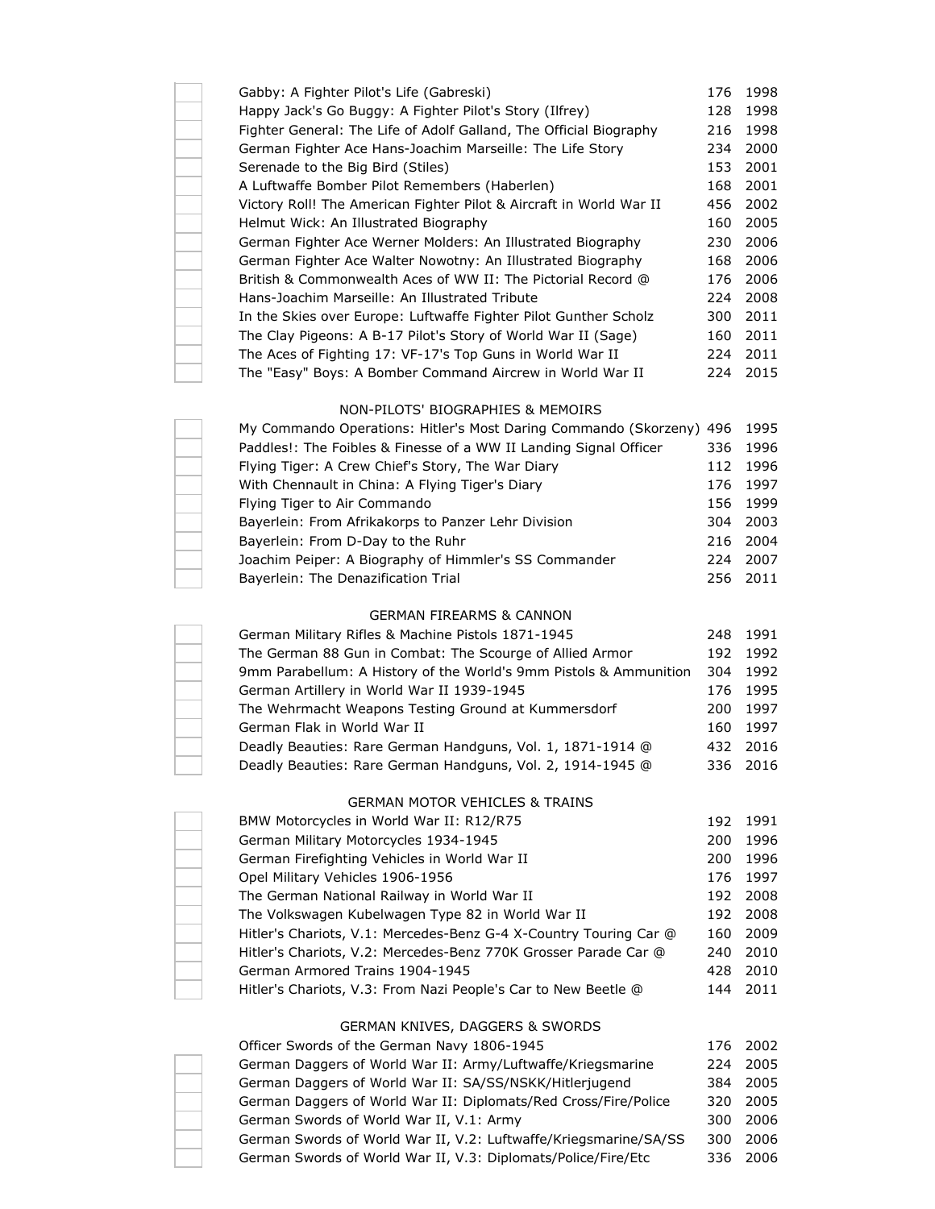| Gabby: A Fighter Pilot's Life (Gabreski)                            | 176  | 1998 |
|---------------------------------------------------------------------|------|------|
| Happy Jack's Go Buggy: A Fighter Pilot's Story (Ilfrey)             | 128  | 1998 |
| Fighter General: The Life of Adolf Galland, The Official Biography  | 216  | 1998 |
| German Fighter Ace Hans-Joachim Marseille: The Life Story           | 234  | 2000 |
| Serenade to the Big Bird (Stiles)                                   | 153  | 2001 |
| A Luftwaffe Bomber Pilot Remembers (Haberlen)                       | 168  | 2001 |
| Victory Roll! The American Fighter Pilot & Aircraft in World War II | 456  | 2002 |
| Helmut Wick: An Illustrated Biography                               | 160  | 2005 |
| German Fighter Ace Werner Molders: An Illustrated Biography         | 230  | 2006 |
| German Fighter Ace Walter Nowotny: An Illustrated Biography         | 168  | 2006 |
| British & Commonwealth Aces of WW II: The Pictorial Record @        | 176  | 2006 |
| Hans-Joachim Marseille: An Illustrated Tribute                      | 224  | 2008 |
| In the Skies over Europe: Luftwaffe Fighter Pilot Gunther Scholz    | 300. | 2011 |
| The Clay Pigeons: A B-17 Pilot's Story of World War II (Sage)       | 160  | 2011 |
| The Aces of Fighting 17: VF-17's Top Guns in World War II           | 224  | 2011 |
| The "Easy" Boys: A Bomber Command Aircrew in World War II           | 224. | 2015 |

## NON-PILOTS' BIOGRAPHIES & MEMOIRS

| My Commando Operations: Hitler's Most Daring Commando (Skorzeny) 496 1995 |     |          |
|---------------------------------------------------------------------------|-----|----------|
| Paddles!: The Foibles & Finesse of a WW II Landing Signal Officer         |     | 336 1996 |
| Flying Tiger: A Crew Chief's Story, The War Diary                         | 112 | 1996     |
| With Chennault in China: A Flying Tiger's Diary                           |     | 176 1997 |
| Flying Tiger to Air Commando                                              |     | 156 1999 |
| Bayerlein: From Afrikakorps to Panzer Lehr Division                       |     | 304 2003 |
| Bayerlein: From D-Day to the Ruhr                                         |     | 216 2004 |
| Joachim Peiper: A Biography of Himmler's SS Commander                     | 224 | 2007     |
| Bayerlein: The Denazification Trial                                       |     | 256 2011 |

## GERMAN FIREARMS & CANNON

| German Military Rifles & Machine Pistols 1871-1945                |     | 248 1991 |
|-------------------------------------------------------------------|-----|----------|
| The German 88 Gun in Combat: The Scourge of Allied Armor          | 192 | 1992     |
| 9mm Parabellum: A History of the World's 9mm Pistols & Ammunition | 304 | 1992     |
| German Artillery in World War II 1939-1945                        |     | 176 1995 |
| The Wehrmacht Weapons Testing Ground at Kummersdorf               | 200 | 1997     |
| German Flak in World War II                                       | 160 | 1997     |
| Deadly Beauties: Rare German Handguns, Vol. 1, 1871-1914 @        |     | 432 2016 |
| Deadly Beauties: Rare German Handguns, Vol. 2, 1914-1945 @        |     | 336 2016 |

## GERMAN MOTOR VEHICLES & TRAINS

| BMW Motorcycles in World War II: R12/R75                          | 192  | 1991     |
|-------------------------------------------------------------------|------|----------|
| German Military Motorcycles 1934-1945                             | 200  | 1996     |
| German Firefighting Vehicles in World War II                      | 200  | 1996     |
| Opel Military Vehicles 1906-1956                                  |      | 176 1997 |
| The German National Railway in World War II                       | 192  | 2008     |
| The Volkswagen Kubelwagen Type 82 in World War II                 | 192  | 2008     |
| Hitler's Chariots, V.1: Mercedes-Benz G-4 X-Country Touring Car @ | 160  | 2009     |
| Hitler's Chariots, V.2: Mercedes-Benz 770K Grosser Parade Car @   | 240. | 2010     |
| German Armored Trains 1904-1945                                   | 428  | 2010     |
| Hitler's Chariots, V.3: From Nazi People's Car to New Beetle @    | 144  | 2011     |
|                                                                   |      |          |

# GERMAN KNIVES, DAGGERS & SWORDS

| Officer Swords of the German Navy 1806-1945                      | 176 2002 |
|------------------------------------------------------------------|----------|
|                                                                  |          |
| German Daggers of World War II: Army/Luftwaffe/Kriegsmarine      | 224 2005 |
| German Daggers of World War II: SA/SS/NSKK/Hitlerjugend          | 384 2005 |
| German Daggers of World War II: Diplomats/Red Cross/Fire/Police  | 320 2005 |
| German Swords of World War II, V.1: Army                         | 300 2006 |
| German Swords of World War II, V.2: Luftwaffe/Kriegsmarine/SA/SS | 300 2006 |
| German Swords of World War II, V.3: Diplomats/Police/Fire/Etc    | 336 2006 |
|                                                                  |          |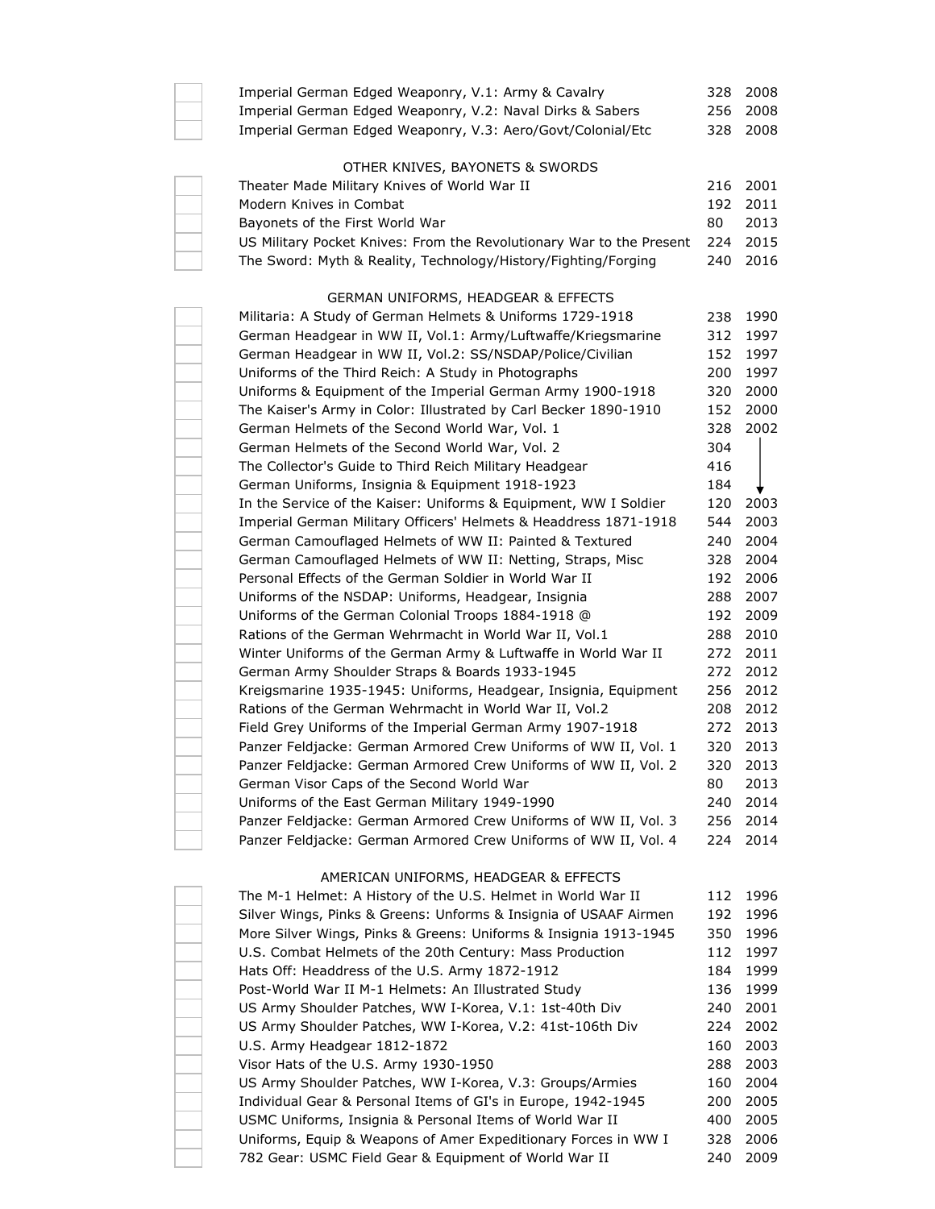| Imperial German Edged Weaponry, V.1: Army & Cavalry                                                                   | 328        | 2008         |
|-----------------------------------------------------------------------------------------------------------------------|------------|--------------|
| Imperial German Edged Weaponry, V.2: Naval Dirks & Sabers                                                             | 256        | 2008         |
| Imperial German Edged Weaponry, V.3: Aero/Govt/Colonial/Etc                                                           | 328        | 2008         |
| OTHER KNIVES, BAYONETS & SWORDS                                                                                       |            |              |
| Theater Made Military Knives of World War II                                                                          | 216        | 2001         |
| Modern Knives in Combat                                                                                               | 192        | 2011         |
| Bayonets of the First World War                                                                                       | 80         | 2013         |
| US Military Pocket Knives: From the Revolutionary War to the Present                                                  | 224        | 2015         |
| The Sword: Myth & Reality, Technology/History/Fighting/Forging                                                        | 240        | 2016         |
| <b>GERMAN UNIFORMS, HEADGEAR &amp; EFFECTS</b>                                                                        |            |              |
| Militaria: A Study of German Helmets & Uniforms 1729-1918                                                             | 238        | 1990         |
| German Headgear in WW II, Vol.1: Army/Luftwaffe/Kriegsmarine                                                          | 312        | 1997         |
| German Headgear in WW II, Vol.2: SS/NSDAP/Police/Civilian                                                             | 152        | 1997         |
| Uniforms of the Third Reich: A Study in Photographs                                                                   | 200        | 1997         |
| Uniforms & Equipment of the Imperial German Army 1900-1918                                                            | 320        | 2000         |
| The Kaiser's Army in Color: Illustrated by Carl Becker 1890-1910                                                      | 152        | 2000         |
| German Helmets of the Second World War, Vol. 1                                                                        | 328        | 2002         |
| German Helmets of the Second World War, Vol. 2                                                                        | 304        |              |
| The Collector's Guide to Third Reich Military Headgear                                                                | 416        |              |
|                                                                                                                       | 184        |              |
| German Uniforms, Insignia & Equipment 1918-1923<br>In the Service of the Kaiser: Uniforms & Equipment, WW I Soldier   |            |              |
|                                                                                                                       | 120<br>544 | 2003         |
| Imperial German Military Officers' Helmets & Headdress 1871-1918                                                      | 240        | 2003<br>2004 |
| German Camouflaged Helmets of WW II: Painted & Textured<br>German Camouflaged Helmets of WW II: Netting, Straps, Misc | 328        | 2004         |
| Personal Effects of the German Soldier in World War II                                                                |            |              |
|                                                                                                                       | 192        | 2006         |
| Uniforms of the NSDAP: Uniforms, Headgear, Insignia                                                                   | 288        | 2007         |
| Uniforms of the German Colonial Troops 1884-1918 @                                                                    | 192        | 2009         |
| Rations of the German Wehrmacht in World War II, Vol.1                                                                | 288        | 2010         |
| Winter Uniforms of the German Army & Luftwaffe in World War II                                                        | 272        | 2011         |
| German Army Shoulder Straps & Boards 1933-1945                                                                        | 272        | 2012         |
| Kreigsmarine 1935-1945: Uniforms, Headgear, Insignia, Equipment                                                       | 256        | 2012         |
| Rations of the German Wehrmacht in World War II, Vol.2<br>Field Grey Uniforms of the Imperial German Army 1907-1918   | 208        | 2012         |
|                                                                                                                       | 272        | 2013         |
| Panzer Feldjacke: German Armored Crew Uniforms of WW II, Vol. 1                                                       | 320        | 2013         |
| Panzer Feldjacke: German Armored Crew Uniforms of WW II, Vol. 2                                                       | 320        | 2013         |
| German Visor Caps of the Second World War                                                                             | 80         | 2013         |
| Uniforms of the East German Military 1949-1990                                                                        | 240        | 2014         |
| Panzer Feldjacke: German Armored Crew Uniforms of WW II, Vol. 3                                                       | 256        | 2014         |
| Panzer Feldjacke: German Armored Crew Uniforms of WW II, Vol. 4                                                       | 224        | 2014         |
| AMERICAN UNIFORMS, HEADGEAR & EFFECTS                                                                                 |            |              |
| The M-1 Helmet: A History of the U.S. Helmet in World War II                                                          | 112        | 1996         |
| Silver Wings, Pinks & Greens: Unforms & Insignia of USAAF Airmen                                                      | 192        | 1996         |
| More Silver Wings, Pinks & Greens: Uniforms & Insignia 1913-1945                                                      | 350        | 1996         |
| U.S. Combat Helmets of the 20th Century: Mass Production                                                              | 112        | 1997         |
| Hats Off: Headdress of the U.S. Army 1872-1912                                                                        | 184        | 1999         |
| Post-World War II M-1 Helmets: An Illustrated Study                                                                   | 136        | 1999         |
| US Army Shoulder Patches, WW I-Korea, V.1: 1st-40th Div                                                               | 240        | 2001         |
| US Army Shoulder Patches, WW I-Korea, V.2: 41st-106th Div                                                             | 224        | 2002         |
| U.S. Army Headgear 1812-1872                                                                                          | 160        | 2003         |
| Visor Hats of the U.S. Army 1930-1950                                                                                 | 288        | 2003         |
| US Army Shoulder Patches, WW I-Korea, V.3: Groups/Armies                                                              | 160        | 2004         |
| Individual Gear & Personal Items of GI's in Europe, 1942-1945                                                         | 200        | 2005         |
| USMC Uniforms, Insignia & Personal Items of World War II                                                              | 400        | 2005         |
| Uniforms, Equip & Weapons of Amer Expeditionary Forces in WW I                                                        | 328        | 2006         |

782 Gear: USMC Field Gear & Equipment of World War II 240 2009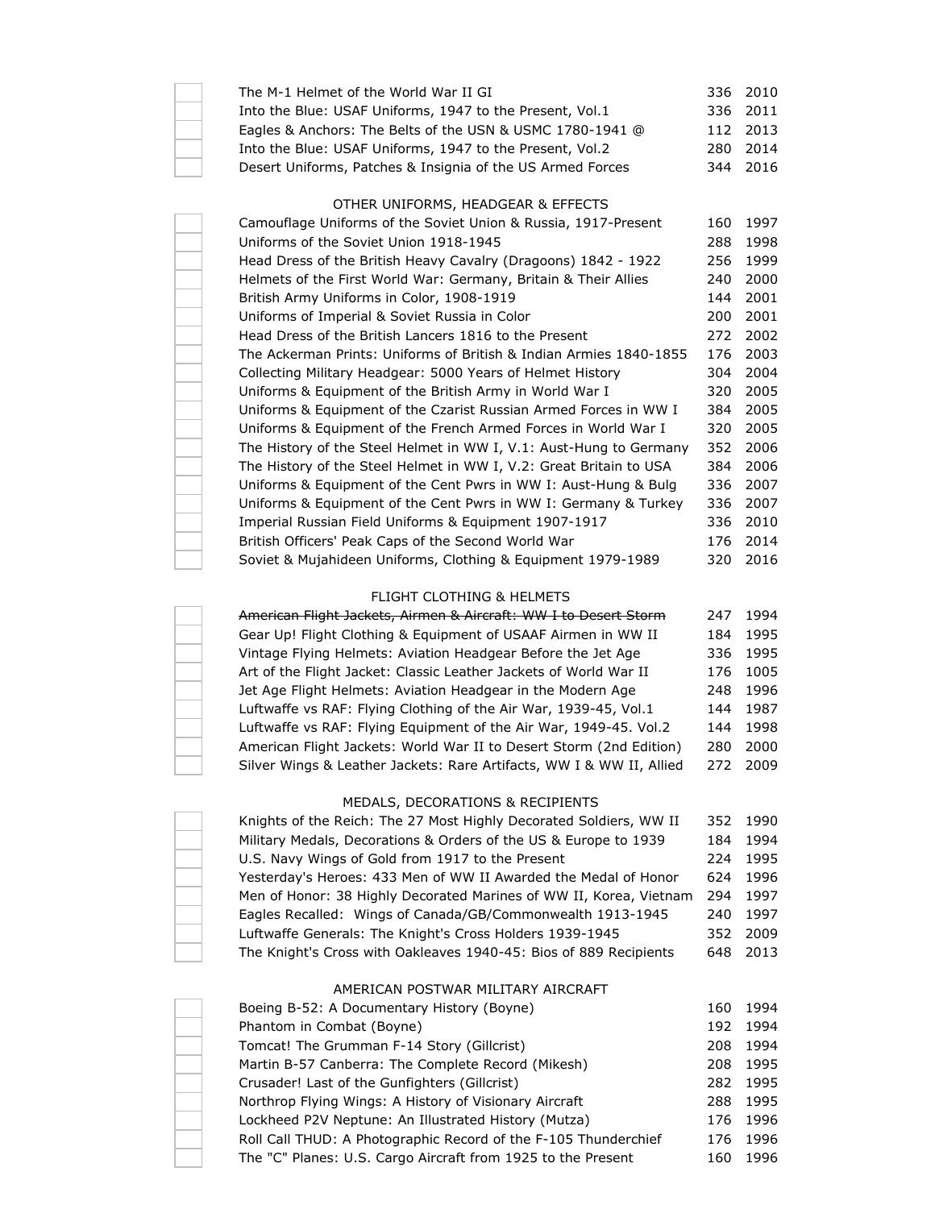| The M-1 Helmet of the World War II GI                      | 336 2010 |
|------------------------------------------------------------|----------|
| Into the Blue: USAF Uniforms, 1947 to the Present, Vol.1   | 336 2011 |
| Eagles & Anchors: The Belts of the USN & USMC 1780-1941 @  | 112 2013 |
| Into the Blue: USAF Uniforms, 1947 to the Present, Vol.2   | 280 2014 |
| Desert Uniforms, Patches & Insignia of the US Armed Forces | 344 2016 |

## OTHER UNIFORMS, HEADGEAR & EFFECTS

| Camouflage Uniforms of the Soviet Union & Russia, 1917-Present     | 160 | 1997 |
|--------------------------------------------------------------------|-----|------|
| Uniforms of the Soviet Union 1918-1945                             | 288 | 1998 |
| Head Dress of the British Heavy Cavalry (Dragoons) 1842 - 1922     | 256 | 1999 |
| Helmets of the First World War: Germany, Britain & Their Allies    | 240 | 2000 |
| British Army Uniforms in Color, 1908-1919                          | 144 | 2001 |
| Uniforms of Imperial & Soviet Russia in Color                      | 200 | 2001 |
| Head Dress of the British Lancers 1816 to the Present              | 272 | 2002 |
| The Ackerman Prints: Uniforms of British & Indian Armies 1840-1855 | 176 | 2003 |
| Collecting Military Headgear: 5000 Years of Helmet History         | 304 | 2004 |
| Uniforms & Equipment of the British Army in World War I            | 320 | 2005 |
| Uniforms & Equipment of the Czarist Russian Armed Forces in WW I   | 384 | 2005 |
| Uniforms & Equipment of the French Armed Forces in World War I     | 320 | 2005 |
| The History of the Steel Helmet in WW I, V.1: Aust-Hung to Germany | 352 | 2006 |
| The History of the Steel Helmet in WW I, V.2: Great Britain to USA | 384 | 2006 |
| Uniforms & Equipment of the Cent Pwrs in WW I: Aust-Hung & Bulg    | 336 | 2007 |
| Uniforms & Equipment of the Cent Pwrs in WW I: Germany & Turkey    | 336 | 2007 |
| Imperial Russian Field Uniforms & Equipment 1907-1917              | 336 | 2010 |
| British Officers' Peak Caps of the Second World War                | 176 | 2014 |
| Soviet & Mujahideen Uniforms, Clothing & Equipment 1979-1989       | 320 | 2016 |
|                                                                    |     |      |

## FLIGHT CLOTHING & HELMETS

| American Flight Jackets, Airmen & Aircraft: WW I to Desert Storm     | 247  | 1994     |
|----------------------------------------------------------------------|------|----------|
| Gear Up! Flight Clothing & Equipment of USAAF Airmen in WW II        | 184  | 1995     |
| Vintage Flying Helmets: Aviation Headgear Before the Jet Age         |      | 336 1995 |
| Art of the Flight Jacket: Classic Leather Jackets of World War II    |      | 176 1005 |
| Jet Age Flight Helmets: Aviation Headgear in the Modern Age          | 248  | 1996     |
| Luftwaffe vs RAF: Flying Clothing of the Air War, 1939-45, Vol.1     |      | 144 1987 |
| Luftwaffe vs RAF: Flying Equipment of the Air War, 1949-45. Vol.2    |      | 144 1998 |
| American Flight Jackets: World War II to Desert Storm (2nd Edition)  | 280  | 2000     |
| Silver Wings & Leather Jackets: Rare Artifacts, WW I & WW II, Allied | 272. | 2009     |

## MEDALS, DECORATIONS & RECIPIENTS

| Knights of the Reich: The 27 Most Highly Decorated Soldiers, WW II |      | 352 1990 |
|--------------------------------------------------------------------|------|----------|
| Military Medals, Decorations & Orders of the US & Europe to 1939   | 184  | 1994     |
| U.S. Navy Wings of Gold from 1917 to the Present                   | 224. | 1995     |
| Yesterday's Heroes: 433 Men of WW II Awarded the Medal of Honor    | 624. | 1996     |
| Men of Honor: 38 Highly Decorated Marines of WW II, Korea, Vietnam | 294  | 1997     |
| Eagles Recalled: Wings of Canada/GB/Commonwealth 1913-1945         | 240. | 1997     |
| Luftwaffe Generals: The Knight's Cross Holders 1939-1945           | 352  | 2009     |
| The Knight's Cross with Oakleaves 1940-45: Bios of 889 Recipients  | 648  | 2013     |

#### AMERICAN POSTWAR MILITARY AIRCRAFT

| Boeing B-52: A Documentary History (Boyne)                      | 160 | 1994 |
|-----------------------------------------------------------------|-----|------|
| Phantom in Combat (Boyne)                                       | 192 | 1994 |
| Tomcat! The Grumman F-14 Story (Gillcrist)                      | 208 | 1994 |
| Martin B-57 Canberra: The Complete Record (Mikesh)              | 208 | 1995 |
| Crusader! Last of the Gunfighters (Gillcrist)                   | 282 | 1995 |
| Northrop Flying Wings: A History of Visionary Aircraft          | 288 | 1995 |
| Lockheed P2V Neptune: An Illustrated History (Mutza)            | 176 | 1996 |
| Roll Call THUD: A Photographic Record of the F-105 Thunderchief | 176 | 1996 |
| The "C" Planes: U.S. Cargo Aircraft from 1925 to the Present    | 160 | 1996 |
|                                                                 |     |      |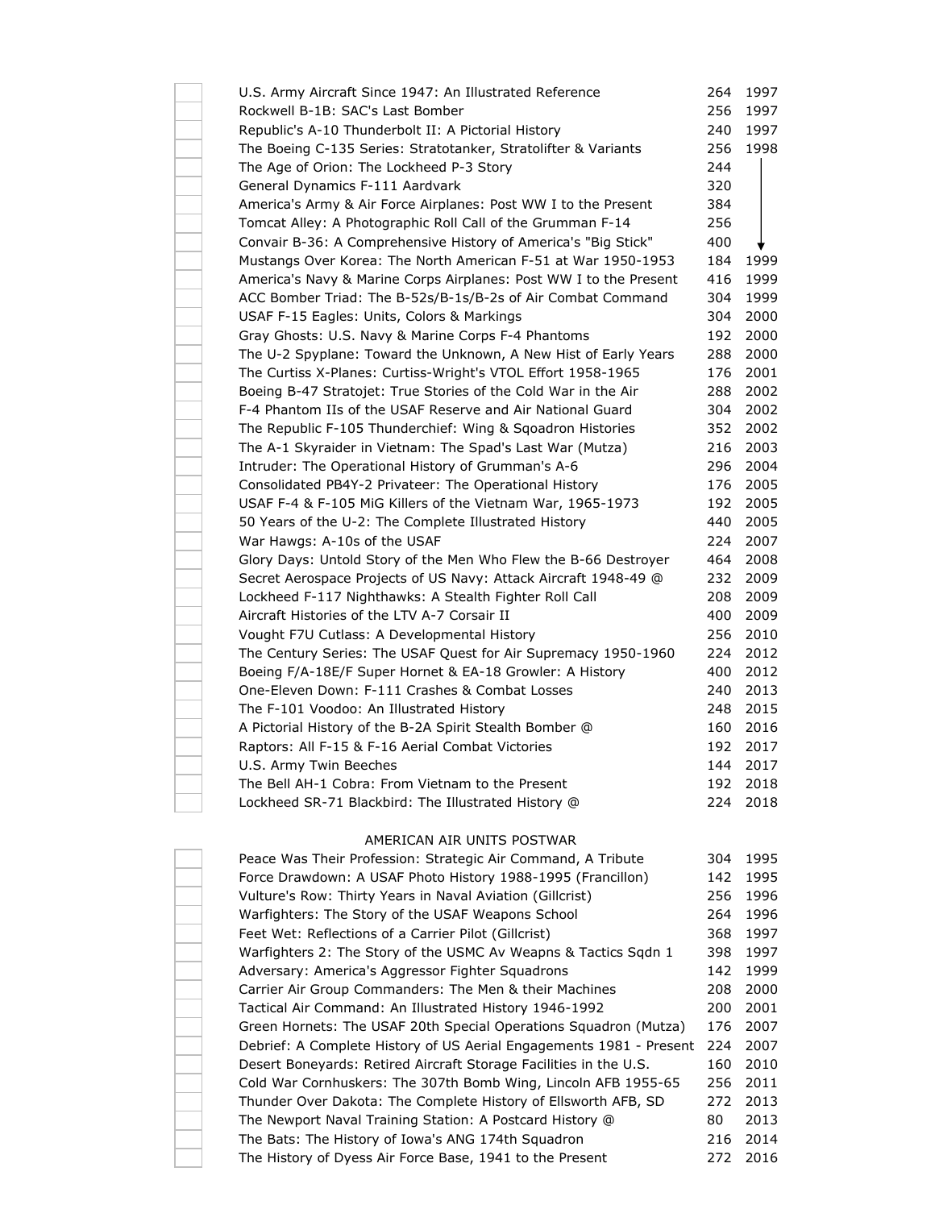| U.S. Army Aircraft Since 1947: An Illustrated Reference           | 264 | 1997 |
|-------------------------------------------------------------------|-----|------|
| Rockwell B-1B: SAC's Last Bomber                                  | 256 | 1997 |
| Republic's A-10 Thunderbolt II: A Pictorial History               | 240 | 1997 |
| The Boeing C-135 Series: Stratotanker, Stratolifter & Variants    | 256 | 1998 |
| The Age of Orion: The Lockheed P-3 Story                          | 244 |      |
| General Dynamics F-111 Aardvark                                   | 320 |      |
| America's Army & Air Force Airplanes: Post WW I to the Present    | 384 |      |
| Tomcat Alley: A Photographic Roll Call of the Grumman F-14        | 256 |      |
| Convair B-36: A Comprehensive History of America's "Big Stick"    | 400 |      |
| Mustangs Over Korea: The North American F-51 at War 1950-1953     | 184 | 1999 |
| America's Navy & Marine Corps Airplanes: Post WW I to the Present | 416 | 1999 |
| ACC Bomber Triad: The B-52s/B-1s/B-2s of Air Combat Command       | 304 | 1999 |
| USAF F-15 Eagles: Units, Colors & Markings                        | 304 | 2000 |
| Gray Ghosts: U.S. Navy & Marine Corps F-4 Phantoms                | 192 | 2000 |
| The U-2 Spyplane: Toward the Unknown, A New Hist of Early Years   | 288 | 2000 |
| The Curtiss X-Planes: Curtiss-Wright's VTOL Effort 1958-1965      | 176 | 2001 |
| Boeing B-47 Stratojet: True Stories of the Cold War in the Air    | 288 | 2002 |
| F-4 Phantom IIs of the USAF Reserve and Air National Guard        | 304 | 2002 |
| The Republic F-105 Thunderchief: Wing & Sqoadron Histories        | 352 | 2002 |
| The A-1 Skyraider in Vietnam: The Spad's Last War (Mutza)         | 216 | 2003 |
| Intruder: The Operational History of Grumman's A-6                | 296 | 2004 |
| Consolidated PB4Y-2 Privateer: The Operational History            | 176 | 2005 |
| USAF F-4 & F-105 MiG Killers of the Vietnam War, 1965-1973        | 192 | 2005 |
| 50 Years of the U-2: The Complete Illustrated History             | 440 | 2005 |
| War Hawgs: A-10s of the USAF                                      | 224 | 2007 |
| Glory Days: Untold Story of the Men Who Flew the B-66 Destroyer   | 464 | 2008 |
| Secret Aerospace Projects of US Navy: Attack Aircraft 1948-49 @   | 232 | 2009 |
| Lockheed F-117 Nighthawks: A Stealth Fighter Roll Call            | 208 | 2009 |
| Aircraft Histories of the LTV A-7 Corsair II                      | 400 | 2009 |
| Vought F7U Cutlass: A Developmental History                       | 256 | 2010 |
| The Century Series: The USAF Quest for Air Supremacy 1950-1960    | 224 | 2012 |
| Boeing F/A-18E/F Super Hornet & EA-18 Growler: A History          | 400 | 2012 |
| One-Eleven Down: F-111 Crashes & Combat Losses                    | 240 | 2013 |
| The F-101 Voodoo: An Illustrated History                          | 248 | 2015 |
| A Pictorial History of the B-2A Spirit Stealth Bomber @           | 160 | 2016 |
| Raptors: All F-15 & F-16 Aerial Combat Victories                  | 192 | 2017 |
| U.S. Army Twin Beeches                                            | 144 | 2017 |
| The Bell AH-1 Cobra: From Vietnam to the Present                  | 192 | 2018 |
| Lockheed SR-71 Blackbird: The Illustrated History @               | 224 | 2018 |
|                                                                   |     |      |

## AMERICAN AIR UNITS POSTWAR

| Peace Was Their Profession: Strategic Air Command, A Tribute        | 304 | 1995 |
|---------------------------------------------------------------------|-----|------|
| Force Drawdown: A USAF Photo History 1988-1995 (Francillon)         | 142 | 1995 |
| Vulture's Row: Thirty Years in Naval Aviation (Gillcrist)           | 256 | 1996 |
| Warfighters: The Story of the USAF Weapons School                   | 264 | 1996 |
| Feet Wet: Reflections of a Carrier Pilot (Gillcrist)                | 368 | 1997 |
| Warfighters 2: The Story of the USMC Av Weapns & Tactics Sqdn 1     | 398 | 1997 |
| Adversary: America's Aggressor Fighter Squadrons                    | 142 | 1999 |
| Carrier Air Group Commanders: The Men & their Machines              | 208 | 2000 |
| Tactical Air Command: An Illustrated History 1946-1992              | 200 | 2001 |
| Green Hornets: The USAF 20th Special Operations Squadron (Mutza)    | 176 | 2007 |
| Debrief: A Complete History of US Aerial Engagements 1981 - Present | 224 | 2007 |
| Desert Boneyards: Retired Aircraft Storage Facilities in the U.S.   | 160 | 2010 |
| Cold War Cornhuskers: The 307th Bomb Wing, Lincoln AFB 1955-65      | 256 | 2011 |
| Thunder Over Dakota: The Complete History of Ellsworth AFB, SD      | 272 | 2013 |
| The Newport Naval Training Station: A Postcard History @            | 80  | 2013 |
| The Bats: The History of Iowa's ANG 174th Squadron                  | 216 | 2014 |
| The History of Dyess Air Force Base, 1941 to the Present            | 272 | 2016 |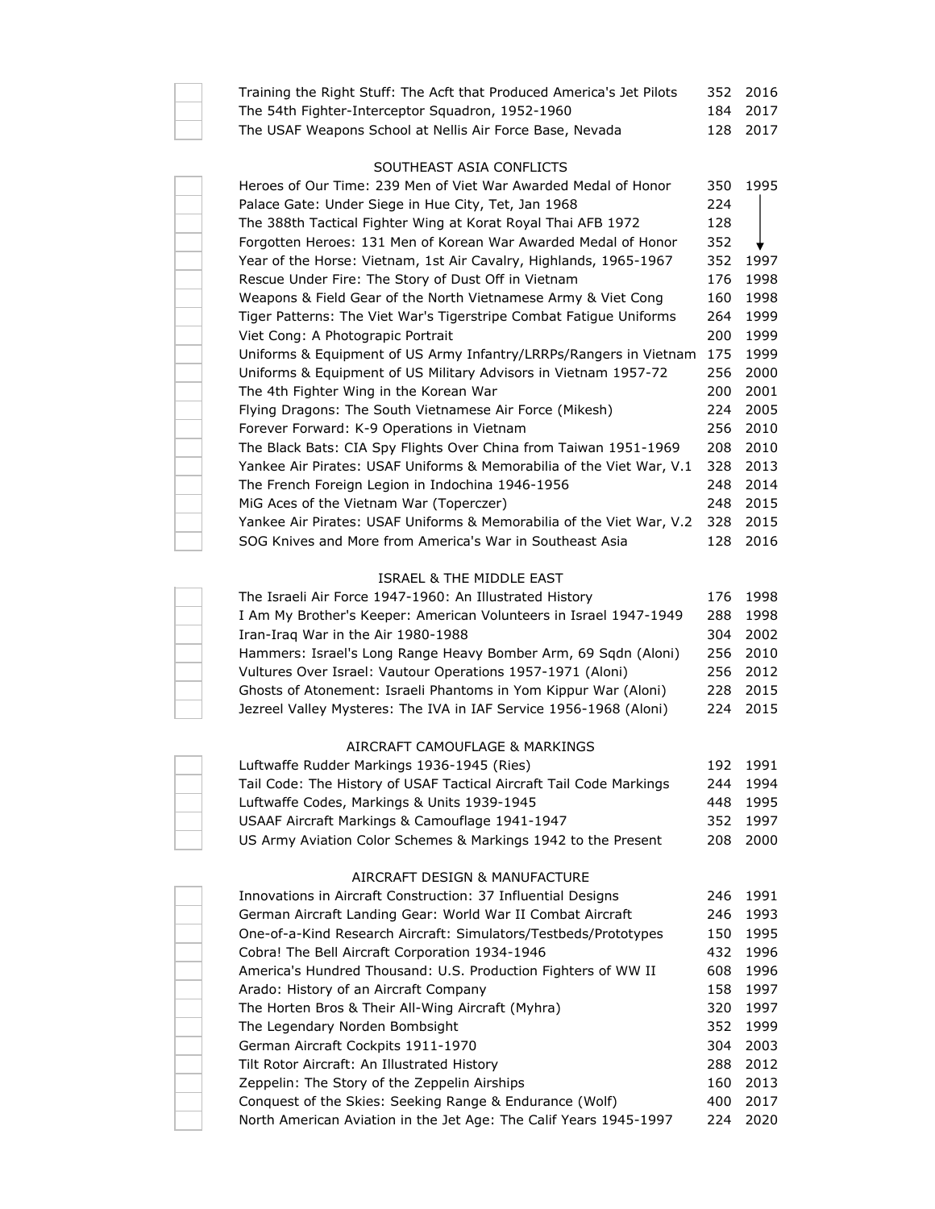| Training the Right Stuff: The Acft that Produced America's Jet Pilots | 352 | 2016 |
|-----------------------------------------------------------------------|-----|------|
| The 54th Fighter-Interceptor Squadron, 1952-1960                      | 184 | 2017 |
| The USAF Weapons School at Nellis Air Force Base, Nevada              | 128 | 2017 |
|                                                                       |     |      |
| SOUTHEAST ASIA CONFLICTS                                              |     |      |
| Heroes of Our Time: 239 Men of Viet War Awarded Medal of Honor        | 350 | 1995 |
| Palace Gate: Under Siege in Hue City, Tet, Jan 1968                   | 224 |      |
| The 388th Tactical Fighter Wing at Korat Royal Thai AFB 1972          | 128 |      |
| Forgotten Heroes: 131 Men of Korean War Awarded Medal of Honor        | 352 |      |
| Year of the Horse: Vietnam, 1st Air Cavalry, Highlands, 1965-1967     | 352 | 1997 |
| Rescue Under Fire: The Story of Dust Off in Vietnam                   | 176 | 1998 |
| Weapons & Field Gear of the North Vietnamese Army & Viet Cong         | 160 | 1998 |
| Tiger Patterns: The Viet War's Tigerstripe Combat Fatigue Uniforms    | 264 | 1999 |
| Viet Cong: A Photograpic Portrait                                     | 200 | 1999 |
| Uniforms & Equipment of US Army Infantry/LRRPs/Rangers in Vietnam     | 175 | 1999 |
| Uniforms & Equipment of US Military Advisors in Vietnam 1957-72       | 256 | 2000 |
| The 4th Fighter Wing in the Korean War                                | 200 | 2001 |
| Flying Dragons: The South Vietnamese Air Force (Mikesh)               | 224 | 2005 |
| Forever Forward: K-9 Operations in Vietnam                            | 256 | 2010 |
| The Black Bats: CIA Spy Flights Over China from Taiwan 1951-1969      | 208 | 2010 |
| Yankee Air Pirates: USAF Uniforms & Memorabilia of the Viet War, V.1  | 328 | 2013 |
| The French Foreign Legion in Indochina 1946-1956                      | 248 | 2014 |
| MiG Aces of the Vietnam War (Toperczer)                               | 248 | 2015 |
| Yankee Air Pirates: USAF Uniforms & Memorabilia of the Viet War, V.2  | 328 | 2015 |
| SOG Knives and More from America's War in Southeast Asia              | 128 | 2016 |

## ISRAEL & THE MIDDLE EAST

| The Israeli Air Force 1947-1960: An Illustrated History           |     | 176 1998 |
|-------------------------------------------------------------------|-----|----------|
| I Am My Brother's Keeper: American Volunteers in Israel 1947-1949 |     | 288 1998 |
| Iran-Irag War in the Air 1980-1988                                | 304 | 2002     |
| Hammers: Israel's Long Range Heavy Bomber Arm, 69 Sqdn (Aloni)    |     | 256 2010 |
| Vultures Over Israel: Vautour Operations 1957-1971 (Aloni)        |     | 256 2012 |
| Ghosts of Atonement: Israeli Phantoms in Yom Kippur War (Aloni)   |     | 228 2015 |
| Jezreel Valley Mysteres: The IVA in IAF Service 1956-1968 (Aloni) |     | 224 2015 |

#### AIRCRAFT CAMOUFLAGE & MARKINGS

| Luftwaffe Rudder Markings 1936-1945 (Ries)                          |     | 192 1991 |
|---------------------------------------------------------------------|-----|----------|
| Tail Code: The History of USAF Tactical Aircraft Tail Code Markings | 244 | 1994     |
| Luftwaffe Codes, Markings & Units 1939-1945                         |     | 448 1995 |
| USAAF Aircraft Markings & Camouflage 1941-1947                      |     | 352 1997 |
| US Army Aviation Color Schemes & Markings 1942 to the Present       |     | 208 2000 |

## AIRCRAFT DESIGN & MANUFACTURE

| Innovations in Aircraft Construction: 37 Influential Designs      | 246  | 1991 |
|-------------------------------------------------------------------|------|------|
| German Aircraft Landing Gear: World War II Combat Aircraft        | 246  | 1993 |
| One-of-a-Kind Research Aircraft: Simulators/Testbeds/Prototypes   | 150  | 1995 |
| Cobra! The Bell Aircraft Corporation 1934-1946                    | 432  | 1996 |
| America's Hundred Thousand: U.S. Production Fighters of WW II     | 608  | 1996 |
| Arado: History of an Aircraft Company                             | 158  | 1997 |
| The Horten Bros & Their All-Wing Aircraft (Myhra)                 | 320. | 1997 |
| The Legendary Norden Bombsight                                    | 352  | 1999 |
| German Aircraft Cockpits 1911-1970                                | 304  | 2003 |
| Tilt Rotor Aircraft: An Illustrated History                       | 288  | 2012 |
| Zeppelin: The Story of the Zeppelin Airships                      | 160  | 2013 |
| Conquest of the Skies: Seeking Range & Endurance (Wolf)           | 400  | 2017 |
| North American Aviation in the Jet Age: The Calif Years 1945-1997 | 224  | 2020 |
|                                                                   |      |      |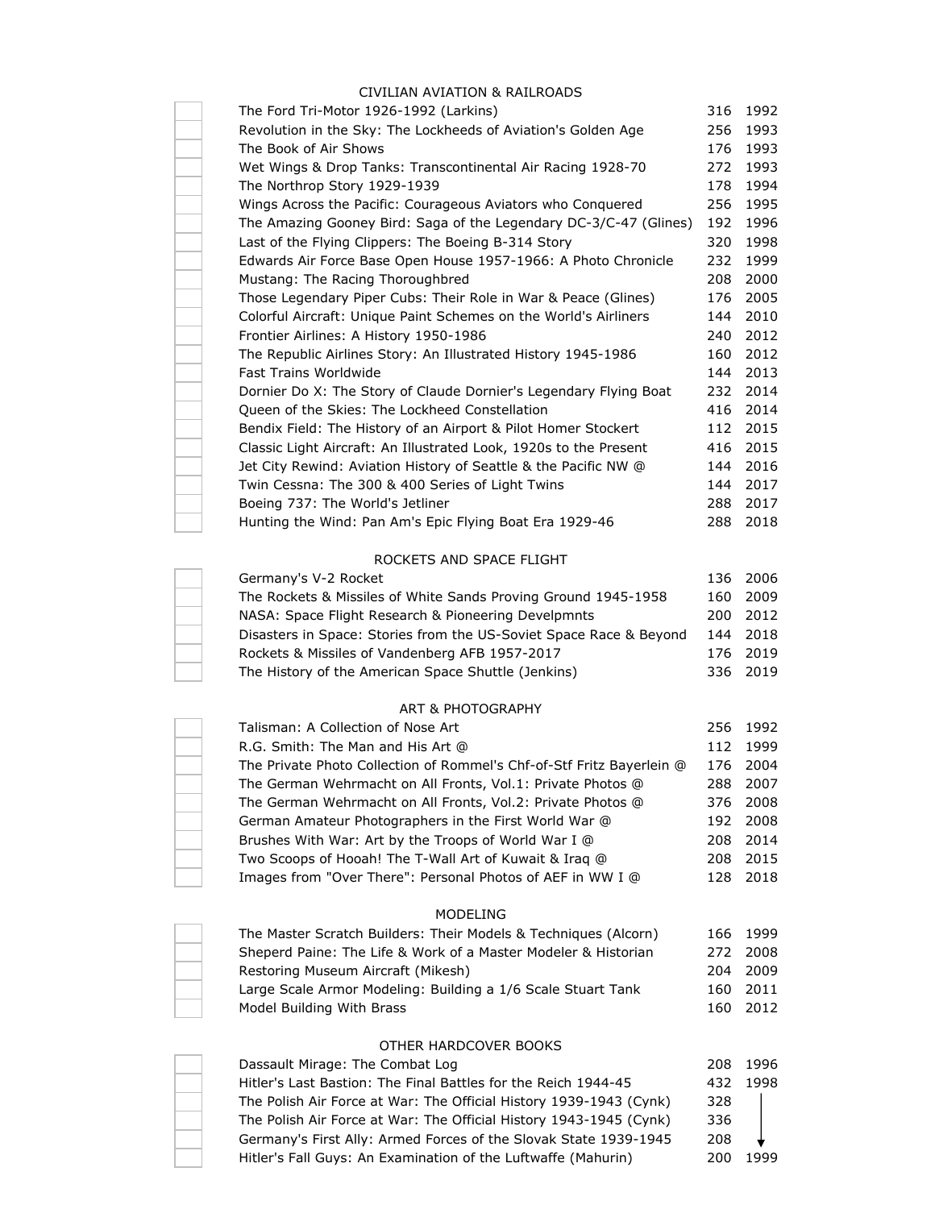# CIVILIAN AVIATION & RAILROADS

| The Ford Tri-Motor 1926-1992 (Larkins)                                | 316 | 1992 |
|-----------------------------------------------------------------------|-----|------|
| Revolution in the Sky: The Lockheeds of Aviation's Golden Age         | 256 | 1993 |
| The Book of Air Shows                                                 | 176 | 1993 |
| Wet Wings & Drop Tanks: Transcontinental Air Racing 1928-70           | 272 | 1993 |
| The Northrop Story 1929-1939                                          | 178 | 1994 |
| Wings Across the Pacific: Courageous Aviators who Conquered           | 256 | 1995 |
| The Amazing Gooney Bird: Saga of the Legendary DC-3/C-47 (Glines)     | 192 | 1996 |
| Last of the Flying Clippers: The Boeing B-314 Story                   | 320 | 1998 |
| Edwards Air Force Base Open House 1957-1966: A Photo Chronicle        | 232 | 1999 |
| Mustang: The Racing Thoroughbred                                      | 208 | 2000 |
| Those Legendary Piper Cubs: Their Role in War & Peace (Glines)        | 176 | 2005 |
| Colorful Aircraft: Unique Paint Schemes on the World's Airliners      | 144 | 2010 |
| Frontier Airlines: A History 1950-1986                                | 240 | 2012 |
| The Republic Airlines Story: An Illustrated History 1945-1986         | 160 | 2012 |
| <b>Fast Trains Worldwide</b>                                          | 144 | 2013 |
| Dornier Do X: The Story of Claude Dornier's Legendary Flying Boat     | 232 | 2014 |
| Queen of the Skies: The Lockheed Constellation                        | 416 | 2014 |
| Bendix Field: The History of an Airport & Pilot Homer Stockert        | 112 | 2015 |
| Classic Light Aircraft: An Illustrated Look, 1920s to the Present     | 416 | 2015 |
| Jet City Rewind: Aviation History of Seattle & the Pacific NW @       | 144 | 2016 |
| Twin Cessna: The 300 & 400 Series of Light Twins                      | 144 | 2017 |
| Boeing 737: The World's Jetliner                                      | 288 | 2017 |
| Hunting the Wind: Pan Am's Epic Flying Boat Era 1929-46               | 288 | 2018 |
| ROCKETS AND SPACE FLIGHT                                              |     |      |
| Germany's V-2 Rocket                                                  | 136 | 2006 |
| The Rockets & Missiles of White Sands Proving Ground 1945-1958        | 160 | 2009 |
| NASA: Space Flight Research & Pioneering Develpmnts                   | 200 | 2012 |
| Disasters in Space: Stories from the US-Soviet Space Race & Beyond    | 144 | 2018 |
| Rockets & Missiles of Vandenberg AFB 1957-2017                        | 176 | 2019 |
| The History of the American Space Shuttle (Jenkins)                   | 336 | 2019 |
| <b>ART &amp; PHOTOGRAPHY</b>                                          |     |      |
| Talisman: A Collection of Nose Art                                    | 256 | 1992 |
| R.G. Smith: The Man and His Art @                                     | 112 | 1999 |
| The Private Photo Collection of Rommel's Chf-of-Stf Fritz Bayerlein @ | 176 | 2004 |
| The German Wehrmacht on All Fronts, Vol.1: Private Photos @           | 288 | 2007 |
| The German Wehrmacht on All Fronts, Vol.2: Private Photos @           | 376 | 2008 |
| German Amateur Photographers in the First World War @                 | 192 | 2008 |
| Brushes With War: Art by the Troops of World War I @                  | 208 | 2014 |
| Two Scoops of Hooah! The T-Wall Art of Kuwait & Iraq @                | 208 | 2015 |
| Images from "Over There": Personal Photos of AEF in WW I @            | 128 | 2018 |
| MODELING                                                              |     |      |
| The Master Scratch Builders: Their Models & Techniques (Alcorn)       | 166 | 1999 |
| Sheperd Paine: The Life & Work of a Master Modeler & Historian        | 272 | 2008 |
| Restoring Museum Aircraft (Mikesh)                                    | 204 | 2009 |
| Large Scale Armor Modeling: Building a 1/6 Scale Stuart Tank          | 160 | 2011 |
| Model Building With Brass                                             | 160 | 2012 |
| OTHER HARDCOVER BOOKS                                                 |     |      |
| Dassault Mirage: The Combat Log                                       | 208 | 1996 |
| Hitler's Last Bastion: The Final Battles for the Reich 1944-45        | 432 | 1998 |
| The Polish Air Force at War: The Official History 1939-1943 (Cynk)    | 328 |      |
| The Polish Air Force at War: The Official History 1943-1945 (Cynk)    | 336 |      |
| Germany's First Ally: Armed Forces of the Slovak State 1939-1945      | 208 |      |
| Hitler's Fall Guys: An Examination of the Luftwaffe (Mahurin)         | 200 | 1999 |
|                                                                       |     |      |